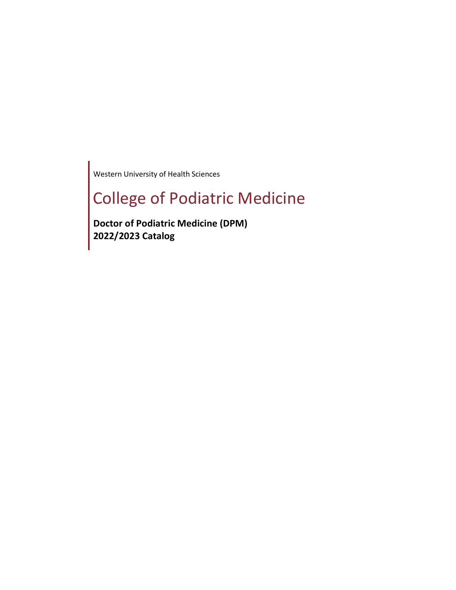Western University of Health Sciences

# College of Podiatric Medicine

**Doctor of Podiatric Medicine (DPM) 2022/2023 Catalog**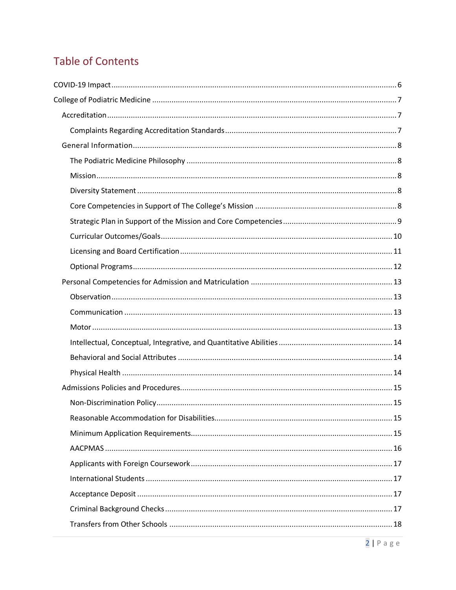# **Table of Contents**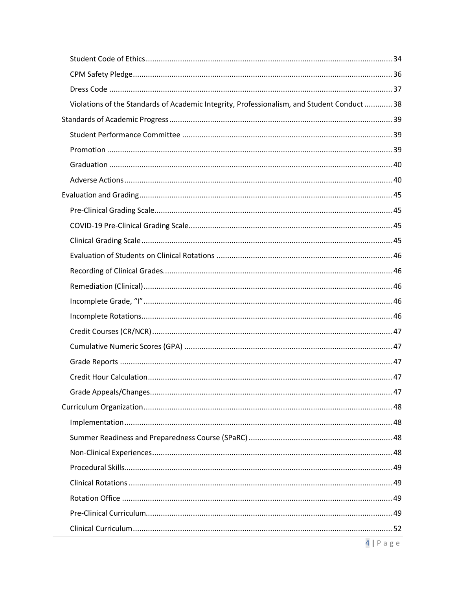| Violations of the Standards of Academic Integrity, Professionalism, and Student Conduct  38 |  |
|---------------------------------------------------------------------------------------------|--|
|                                                                                             |  |
|                                                                                             |  |
|                                                                                             |  |
|                                                                                             |  |
|                                                                                             |  |
|                                                                                             |  |
|                                                                                             |  |
|                                                                                             |  |
|                                                                                             |  |
|                                                                                             |  |
|                                                                                             |  |
|                                                                                             |  |
|                                                                                             |  |
|                                                                                             |  |
|                                                                                             |  |
|                                                                                             |  |
|                                                                                             |  |
|                                                                                             |  |
|                                                                                             |  |
|                                                                                             |  |
|                                                                                             |  |
|                                                                                             |  |
|                                                                                             |  |
|                                                                                             |  |
|                                                                                             |  |
|                                                                                             |  |
|                                                                                             |  |
|                                                                                             |  |
|                                                                                             |  |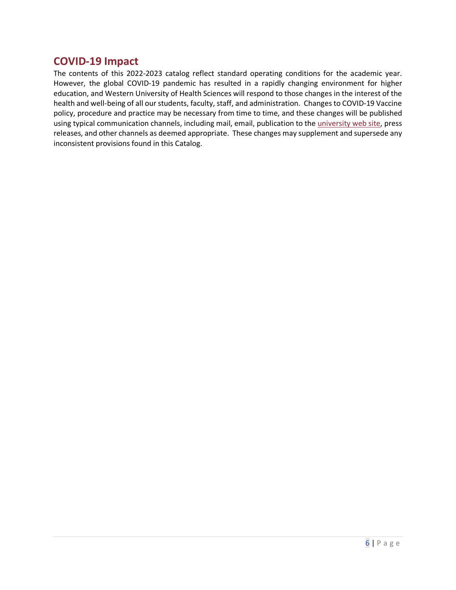## <span id="page-5-0"></span>**COVID-19 Impact**

The contents of this 2022-2023 catalog reflect standard operating conditions for the academic year. However, the global COVID-19 pandemic has resulted in a rapidly changing environment for higher education, and Western University of Health Sciences will respond to those changes in the interest of the health and well-being of all our students, faculty, staff, and administration. Changes to COVID-19 Vaccine policy, procedure and practice may be necessary from time to time, and these changes will be published using typical communication channels, including mail, email, publication to the [university web site,](https://www.westernu.edu/covid-19/) press releases, and other channels as deemed appropriate. These changes may supplement and supersede any inconsistent provisions found in this Catalog.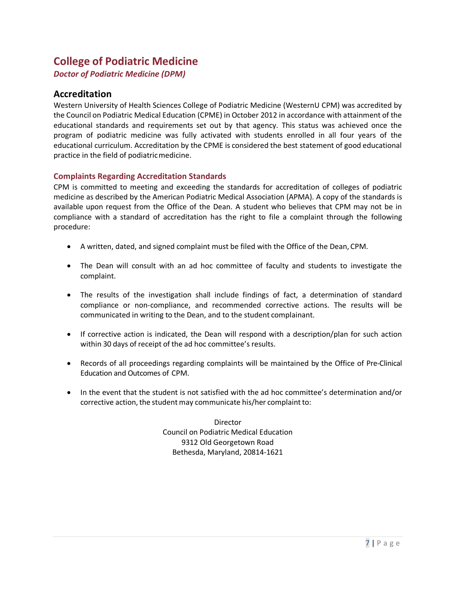# <span id="page-6-0"></span>**College of Podiatric Medicine**

*Doctor of Podiatric Medicine (DPM)*

## <span id="page-6-1"></span>**Accreditation**

Western University of Health Sciences College of Podiatric Medicine (WesternU CPM) was accredited by the Council on Podiatric Medical Education (CPME) in October 2012 in accordance with attainment of the educational standards and requirements set out by that agency. This status was achieved once the program of podiatric medicine was fully activated with students enrolled in all four years of the educational curriculum. Accreditation by the CPME is considered the best statement of good educational practice in the field of podiatricmedicine.

#### <span id="page-6-2"></span>**Complaints Regarding Accreditation Standards**

CPM is committed to meeting and exceeding the standards for accreditation of colleges of podiatric medicine as described by the American Podiatric Medical Association (APMA). A copy of the standards is available upon request from the Office of the Dean. A student who believes that CPM may not be in compliance with a standard of accreditation has the right to file a complaint through the following procedure:

- A written, dated, and signed complaint must be filed with the Office of the Dean, CPM.
- The Dean will consult with an ad hoc committee of faculty and students to investigate the complaint.
- The results of the investigation shall include findings of fact, a determination of standard compliance or non-compliance, and recommended corrective actions. The results will be communicated in writing to the Dean, and to the student complainant.
- If corrective action is indicated, the Dean will respond with a description/plan for such action within 30 days of receipt of the ad hoc committee's results.
- Records of all proceedings regarding complaints will be maintained by the Office of Pre-Clinical Education and Outcomes of CPM.
- In the event that the student is not satisfied with the ad hoc committee's determination and/or corrective action, the student may communicate his/her complaint to:

Director Council on Podiatric Medical Education 9312 Old Georgetown Road Bethesda, Maryland, 20814-1621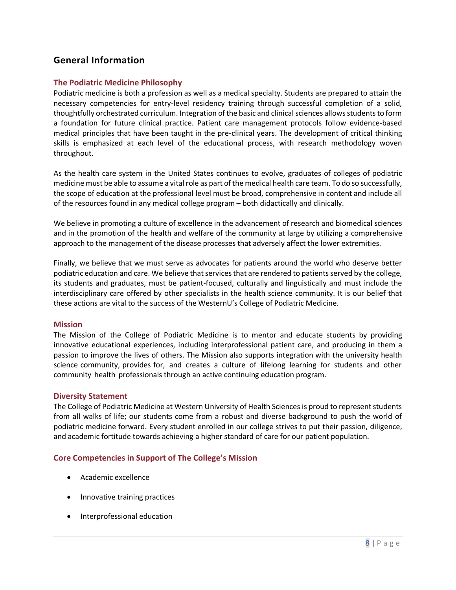## <span id="page-7-0"></span>**General Information**

#### <span id="page-7-1"></span>**The Podiatric Medicine Philosophy**

Podiatric medicine is both a profession as well as a medical specialty. Students are prepared to attain the necessary competencies for entry-level residency training through successful completion of a solid, thoughtfully orchestrated curriculum. Integration of the basic and clinical sciences allows students to form a foundation for future clinical practice. Patient care management protocols follow evidence-based medical principles that have been taught in the pre-clinical years. The development of critical thinking skills is emphasized at each level of the educational process, with research methodology woven throughout.

As the health care system in the United States continues to evolve, graduates of colleges of podiatric medicine must be able to assume a vital role as part of the medical health care team. To do so successfully, the scope of education at the professional level must be broad, comprehensive in content and include all of the resources found in any medical college program – both didactically and clinically.

We believe in promoting a culture of excellence in the advancement of research and biomedical sciences and in the promotion of the health and welfare of the community at large by utilizing a comprehensive approach to the management of the disease processes that adversely affect the lower extremities.

Finally, we believe that we must serve as advocates for patients around the world who deserve better podiatric education and care. We believe that services that are rendered to patients served by the college, its students and graduates, must be patient-focused, culturally and linguistically and must include the interdisciplinary care offered by other specialists in the health science community. It is our belief that these actions are vital to the success of the WesternU's College of Podiatric Medicine.

#### <span id="page-7-2"></span>**Mission**

The Mission of the College of Podiatric Medicine is to mentor and educate students by providing innovative educational experiences, including interprofessional patient care, and producing in them a passion to improve the lives of others. The Mission also supports integration with the university health science community, provides for, and creates a culture of lifelong learning for students and other community health professionals through an active continuing education program.

#### <span id="page-7-3"></span>**Diversity Statement**

The College of Podiatric Medicine at Western University of Health Sciences is proud to represent students from all walks of life; our students come from a robust and diverse background to push the world of podiatric medicine forward. Every student enrolled in our college strives to put their passion, diligence, and academic fortitude towards achieving a higher standard of care for our patient population.

#### <span id="page-7-4"></span>**Core Competencies in Support of The College's Mission**

- Academic excellence
- Innovative training practices
- Interprofessional education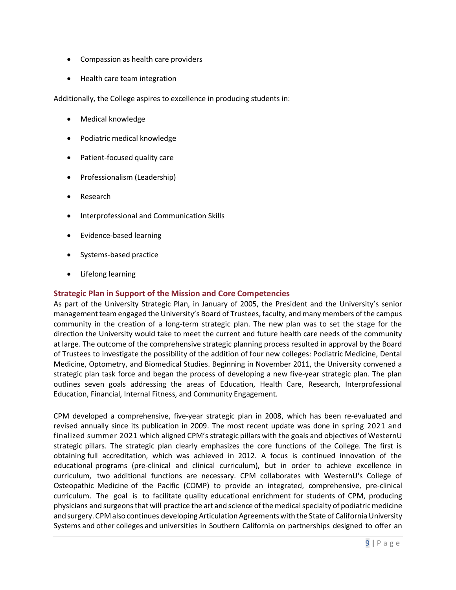- Compassion as health care providers
- Health care team integration

Additionally, the College aspires to excellence in producing students in:

- Medical knowledge
- Podiatric medical knowledge
- Patient-focused quality care
- Professionalism (Leadership)
- Research
- Interprofessional and Communication Skills
- Evidence-based learning
- Systems-based practice
- Lifelong learning

#### <span id="page-8-0"></span>**Strategic Plan in Support of the Mission and Core Competencies**

As part of the University Strategic Plan, in January of 2005, the President and the University's senior management team engaged the University's Board of Trustees, faculty, and many members of the campus community in the creation of a long-term strategic plan. The new plan was to set the stage for the direction the University would take to meet the current and future health care needs of the community at large. The outcome of the comprehensive strategic planning process resulted in approval by the Board of Trustees to investigate the possibility of the addition of four new colleges: Podiatric Medicine, Dental Medicine, Optometry, and Biomedical Studies. Beginning in November 2011, the University convened a strategic plan task force and began the process of developing a new five-year strategic plan. The plan outlines seven goals addressing the areas of Education, Health Care, Research, Interprofessional Education, Financial, Internal Fitness, and Community Engagement.

CPM developed a comprehensive, five-year strategic plan in 2008, which has been re-evaluated and revised annually since its publication in 2009. The most recent update was done in spring 2021 and finalized summer 2021 which aligned CPM's strategic pillars with the goals and objectives of WesternU strategic pillars. The strategic plan clearly emphasizes the core functions of the College. The first is obtaining full accreditation, which was achieved in 2012. A focus is continued innovation of the educational programs (pre-clinical and clinical curriculum), but in order to achieve excellence in curriculum, two additional functions are necessary. CPM collaborates with WesternU's College of Osteopathic Medicine of the Pacific (COMP) to provide an integrated, comprehensive, pre-clinical curriculum. The goal is to facilitate quality educational enrichment for students of CPM, producing physicians and surgeons that will practice the art and science of the medical specialty of podiatric medicine and surgery. CPM also continues developing Articulation Agreements with the State of California University Systems and other colleges and universities in Southern California on partnerships designed to offer an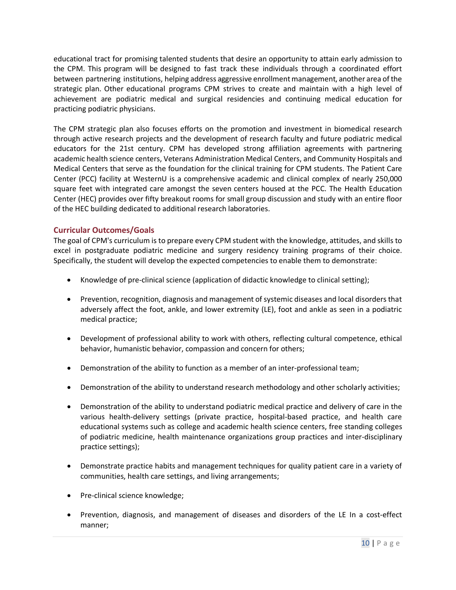educational tract for promising talented students that desire an opportunity to attain early admission to the CPM. This program will be designed to fast track these individuals through a coordinated effort between partnering institutions, helping address aggressive enrollmentmanagement, another area of the strategic plan. Other educational programs CPM strives to create and maintain with a high level of achievement are podiatric medical and surgical residencies and continuing medical education for practicing podiatric physicians.

The CPM strategic plan also focuses efforts on the promotion and investment in biomedical research through active research projects and the development of research faculty and future podiatric medical educators for the 21st century. CPM has developed strong affiliation agreements with partnering academic health science centers, Veterans Administration Medical Centers, and Community Hospitals and Medical Centers that serve as the foundation for the clinical training for CPM students. The Patient Care Center (PCC) facility at WesternU is a comprehensive academic and clinical complex of nearly 250,000 square feet with integrated care amongst the seven centers housed at the PCC. The Health Education Center (HEC) provides over fifty breakout rooms for small group discussion and study with an entire floor of the HEC building dedicated to additional research laboratories.

#### <span id="page-9-0"></span>**Curricular Outcomes/Goals**

The goal of CPM's curriculum is to prepare every CPM student with the knowledge, attitudes, and skills to excel in postgraduate podiatric medicine and surgery residency training programs of their choice. Specifically, the student will develop the expected competencies to enable them to demonstrate:

- Knowledge of pre-clinical science (application of didactic knowledge to clinical setting);
- Prevention, recognition, diagnosis and management of systemic diseases and local disorders that adversely affect the foot, ankle, and lower extremity (LE), foot and ankle as seen in a podiatric medical practice;
- Development of professional ability to work with others, reflecting cultural competence, ethical behavior, humanistic behavior, compassion and concern for others;
- Demonstration of the ability to function as a member of an inter-professional team;
- Demonstration of the ability to understand research methodology and other scholarly activities;
- Demonstration of the ability to understand podiatric medical practice and delivery of care in the various health-delivery settings (private practice, hospital-based practice, and health care educational systems such as college and academic health science centers, free standing colleges of podiatric medicine, health maintenance organizations group practices and inter-disciplinary practice settings);
- Demonstrate practice habits and management techniques for quality patient care in a variety of communities, health care settings, and living arrangements;
- Pre-clinical science knowledge;
- Prevention, diagnosis, and management of diseases and disorders of the LE In a cost-effect manner;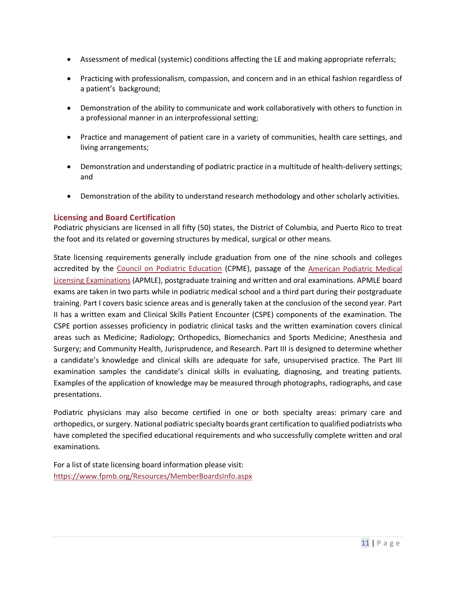- Assessment of medical (systemic) conditions affecting the LE and making appropriate referrals;
- Practicing with professionalism, compassion, and concern and in an ethical fashion regardless of a patient's background;
- Demonstration of the ability to communicate and work collaboratively with others to function in a professional manner in an interprofessional setting;
- Practice and management of patient care in a variety of communities, health care settings, and living arrangements;
- Demonstration and understanding of podiatric practice in a multitude of health-delivery settings; and
- Demonstration of the ability to understand research methodology and other scholarly activities.

#### <span id="page-10-0"></span>**Licensing and Board Certification**

Podiatric physicians are licensed in all fifty (50) states, the District of Columbia, and Puerto Rico to treat the foot and its related or governing structures by medical, surgical or other means.

State licensing requirements generally include graduation from one of the nine schools and colleges accredited by the [Council on Podiatric Education](https://www.cpme.org/) (CPME), passage of the [American Podiatric Medical](https://www.apmle.com/)  [Licensing Examinations](https://www.apmle.com/) (APMLE), postgraduate training and written and oral examinations. APMLE board exams are taken in two parts while in podiatric medical school and a third part during their postgraduate training. Part I covers basic science areas and is generally taken at the conclusion of the second year. Part II has a written exam and Clinical Skills Patient Encounter (CSPE) components of the examination. The CSPE portion assesses proficiency in podiatric clinical tasks and the written examination covers clinical areas such as Medicine; Radiology; Orthopedics, Biomechanics and Sports Medicine; Anesthesia and Surgery; and Community Health, Jurisprudence, and Research. Part III is designed to determine whether a candidate's knowledge and clinical skills are adequate for safe, unsupervised practice. The Part III examination samples the candidate's clinical skills in evaluating, diagnosing, and treating patients. Examples of the application of knowledge may be measured through photographs, radiographs, and case presentations.

Podiatric physicians may also become certified in one or both specialty areas: primary care and orthopedics, or surgery. National podiatric specialty boards grant certification to qualified podiatrists who have completed the specified educational requirements and who successfully complete written and oral examinations.

For a list of state licensing board information please visit: <https://www.fpmb.org/Resources/MemberBoardsInfo.aspx>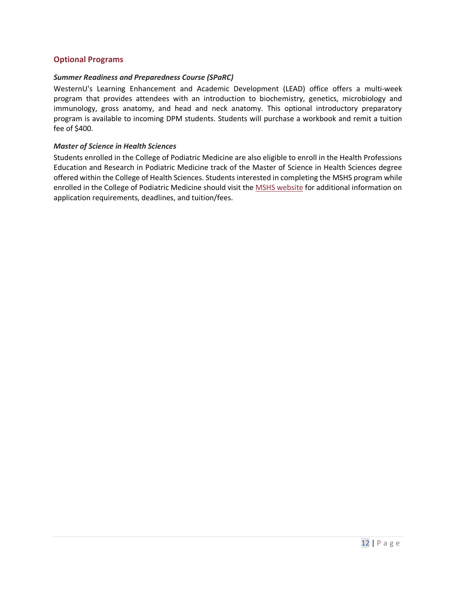#### <span id="page-11-0"></span>**Optional Programs**

#### *Summer Readiness and Preparedness Course (SPaRC)*

WesternU's Learning Enhancement and Academic Development (LEAD) office offers a multi-week program that provides attendees with an introduction to biochemistry, genetics, microbiology and immunology, gross anatomy, and head and neck anatomy. This optional introductory preparatory program is available to incoming DPM students. Students will purchase a workbook and remit a tuition fee of \$400.

#### *Master of Science in Health Sciences*

Students enrolled in the College of Podiatric Medicine are also eligible to enroll in the Health Professions Education and Research in Podiatric Medicine track of the Master of Science in Health Sciences degree offered within the College of Health Sciences. Students interested in completing the MSHS program while enrolled in the College of Podiatric Medicine should visit the [MSHS website](http://prospective.westernu.edu/health-sciences/welcome-3/) for additional information on application requirements, deadlines, and tuition/fees.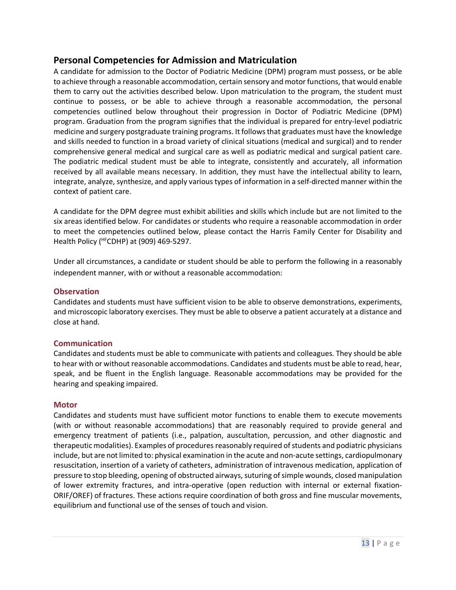## <span id="page-12-0"></span>**Personal Competencies for Admission and Matriculation**

A candidate for admission to the Doctor of Podiatric Medicine (DPM) program must possess, or be able to achieve through a reasonable accommodation, certain sensory and motor functions, that would enable them to carry out the activities described below. Upon matriculation to the program, the student must continue to possess, or be able to achieve through a reasonable accommodation, the personal competencies outlined below throughout their progression in Doctor of Podiatric Medicine (DPM) program. Graduation from the program signifies that the individual is prepared for entry-level podiatric medicine and surgery postgraduate training programs. It follows that graduates must have the knowledge and skills needed to function in a broad variety of clinical situations (medical and surgical) and to render comprehensive general medical and surgical care as well as podiatric medical and surgical patient care. The podiatric medical student must be able to integrate, consistently and accurately, all information received by all available means necessary. In addition, they must have the intellectual ability to learn, integrate, analyze, synthesize, and apply various types of information in a self-directed manner within the context of patient care.

A candidate for the DPM degree must exhibit abilities and skills which include but are not limited to the six areas identified below. For candidates or students who require a reasonable accommodation in order to meet the competencies outlined below, please contact the Harris Family Center for Disability and Health Policy (HFCDHP) at (909) 469-5297.

Under all circumstances, a candidate or student should be able to perform the following in a reasonably independent manner, with or without a reasonable accommodation:

#### <span id="page-12-1"></span>**Observation**

Candidates and students must have sufficient vision to be able to observe demonstrations, experiments, and microscopic laboratory exercises. They must be able to observe a patient accurately at a distance and close at hand.

#### <span id="page-12-2"></span>**Communication**

Candidates and students must be able to communicate with patients and colleagues. They should be able to hear with or without reasonable accommodations. Candidates and students must be able to read, hear, speak, and be fluent in the English language. Reasonable accommodations may be provided for the hearing and speaking impaired.

#### <span id="page-12-3"></span>**Motor**

Candidates and students must have sufficient motor functions to enable them to execute movements (with or without reasonable accommodations) that are reasonably required to provide general and emergency treatment of patients (i.e., palpation, auscultation, percussion, and other diagnostic and therapeutic modalities). Examples of procedures reasonably required of students and podiatric physicians include, but are not limited to: physical examination in the acute and non-acute settings, cardiopulmonary resuscitation, insertion of a variety of catheters, administration of intravenous medication, application of pressure to stop bleeding, opening of obstructed airways, suturing of simple wounds, closed manipulation of lower extremity fractures, and intra-operative (open reduction with internal or external fixation-ORIF/OREF) of fractures. These actions require coordination of both gross and fine muscular movements, equilibrium and functional use of the senses of touch and vision.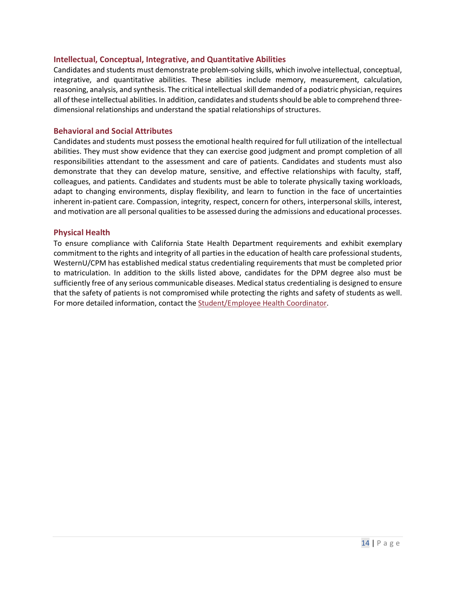#### <span id="page-13-0"></span>**Intellectual, Conceptual, Integrative, and Quantitative Abilities**

Candidates and students must demonstrate problem-solving skills, which involve intellectual, conceptual, integrative, and quantitative abilities. These abilities include memory, measurement, calculation, reasoning, analysis, and synthesis. The critical intellectual skill demanded of a podiatric physician, requires all of these intellectual abilities. In addition, candidates and students should be able to comprehend threedimensional relationships and understand the spatial relationships of structures.

#### <span id="page-13-1"></span>**Behavioral and Social Attributes**

Candidates and students must possess the emotional health required for full utilization of the intellectual abilities. They must show evidence that they can exercise good judgment and prompt completion of all responsibilities attendant to the assessment and care of patients. Candidates and students must also demonstrate that they can develop mature, sensitive, and effective relationships with faculty, staff, colleagues, and patients. Candidates and students must be able to tolerate physically taxing workloads, adapt to changing environments, display flexibility, and learn to function in the face of uncertainties inherent in-patient care. Compassion, integrity, respect, concern for others, interpersonal skills, interest, and motivation are all personal qualities to be assessed during the admissions and educational processes.

#### <span id="page-13-2"></span>**Physical Health**

To ensure compliance with California State Health Department requirements and exhibit exemplary commitment to the rights and integrity of all parties in the education of health care professional students, WesternU/CPM has established medical status credentialing requirements that must be completed prior to matriculation. In addition to the skills listed above, candidates for the DPM degree also must be sufficiently free of any serious communicable diseases. Medical status credentialing is designed to ensure that the safety of patients is not compromised while protecting the rights and safety of students as well. For more detailed information, contact the [Student/Employee Health Coordinator.](mailto:stu-emphealth@westernu.edu)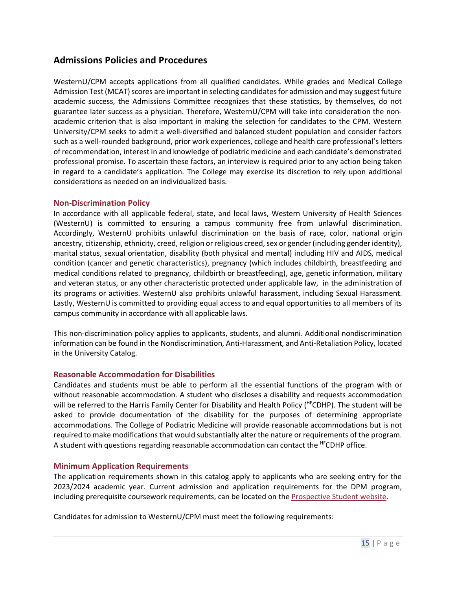## <span id="page-14-0"></span>**Admissions Policies and Procedures**

WesternU/CPM accepts applications from all qualified candidates. While grades and Medical College Admission Test (MCAT) scores are important in selecting candidates for admission and may suggest future academic success, the Admissions Committee recognizes that these statistics, by themselves, do not guarantee later success as a physician. Therefore, WesternU/CPM will take into consideration the nonacademic criterion that is also important in making the selection for candidates to the CPM. Western University/CPM seeks to admit a well-diversified and balanced student population and consider factors such as a well-rounded background, prior work experiences, college and health care professional's letters of recommendation, interest in and knowledge of podiatric medicine and each candidate's demonstrated professional promise. To ascertain these factors, an interview is required prior to any action being taken in regard to a candidate's application. The College may exercise its discretion to rely upon additional considerations as needed on an individualized basis.

#### <span id="page-14-1"></span>**Non-Discrimination Policy**

In accordance with all applicable federal, state, and local laws, Western University of Health Sciences (WesternU) is committed to ensuring a campus community free from unlawful discrimination. Accordingly, WesternU prohibits unlawful discrimination on the basis of race, color, national origin ancestry, citizenship, ethnicity, creed, religion or religious creed, sex or gender (including gender identity), marital status, sexual orientation, disability (both physical and mental) including HIV and AIDS, medical condition (cancer and genetic characteristics), pregnancy (which includes childbirth, breastfeeding and medical conditions related to pregnancy, childbirth or breastfeeding), age, genetic information, military and veteran status, or any other characteristic protected under applicable law, in the administration of its programs or activities. WesternU also prohibits unlawful harassment, including Sexual Harassment. Lastly, WesternU is committed to providing equal access to and equal opportunities to all members of its campus community in accordance with all applicable laws.

This non-discrimination policy applies to applicants, students, and alumni. Additional nondiscrimination information can be found in the Nondiscrimination, Anti-Harassment, and Anti-Retaliation Policy, located in the University Catalog.

#### <span id="page-14-2"></span>**Reasonable Accommodation for Disabilities**

Candidates and students must be able to perform all the essential functions of the program with or without reasonable accommodation. A student who discloses a disability and requests accommodation will be referred to the Harris Family Center for Disability and Health Policy (<sup>HF</sup>CDHP). The student will be asked to provide documentation of the disability for the purposes of determining appropriate accommodations. The College of Podiatric Medicine will provide reasonable accommodations but is not required to make modifications that would substantially alter the nature or requirements of the program. A student with questions regarding reasonable accommodation can contact the <sup>HF</sup>CDHP office.

#### <span id="page-14-3"></span>**Minimum Application Requirements**

The application requirements shown in this catalog apply to applicants who are seeking entry for the 2023/2024 academic year. Current admission and application requirements for the DPM program, including prerequisite coursework requirements, can be located on the [Prospective Student website.](http://prospective.westernu.edu/podiatry/requirements-15/)

Candidates for admission to WesternU/CPM must meet the following requirements: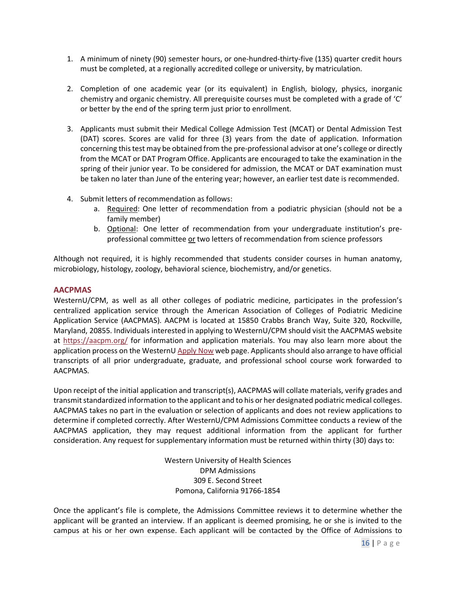- 1. A minimum of ninety (90) semester hours, or one-hundred-thirty-five (135) quarter credit hours must be completed, at a regionally accredited college or university, by matriculation.
- 2. Completion of one academic year (or its equivalent) in English, biology, physics, inorganic chemistry and organic chemistry. All prerequisite courses must be completed with a grade of 'C' or better by the end of the spring term just prior to enrollment.
- 3. Applicants must submit their Medical College Admission Test (MCAT) or Dental Admission Test (DAT) scores. Scores are valid for three (3) years from the date of application. Information concerning this test may be obtained from the pre-professional advisor at one's college or directly from the MCAT or DAT Program Office. Applicants are encouraged to take the examination in the spring of their junior year. To be considered for admission, the MCAT or DAT examination must be taken no later than June of the entering year; however, an earlier test date is recommended.
- 4. Submit letters of recommendation as follows:
	- a. Required: One letter of recommendation from a podiatric physician (should not be a family member)
	- b. Optional: One letter of recommendation from your undergraduate institution's preprofessional committee or two letters of recommendation from science professors

Although not required, it is highly recommended that students consider courses in human anatomy, microbiology, histology, zoology, behavioral science, biochemistry, and/or genetics.

#### <span id="page-15-0"></span>**AACPMAS**

WesternU/CPM, as well as all other colleges of podiatric medicine, participates in the profession's centralized application service through the American Association of Colleges of Podiatric Medicine Application Service (AACPMAS). AACPM is located at 15850 Crabbs Branch Way, Suite 320, Rockville, Maryland, 20855. Individuals interested in applying to WesternU/CPM should visit the AACPMAS website at<https://aacpm.org/> for information and application materials. You may also learn more about the application process on the Western[U Apply Now](http://prospective.westernu.edu/podiatry/dpm/apply/) web page. Applicants should also arrange to have official transcripts of all prior undergraduate, graduate, and professional school course work forwarded to AACPMAS.

Upon receipt of the initial application and transcript(s), AACPMAS will collate materials, verify grades and transmit standardized information to the applicant and to his or her designated podiatric medical colleges. AACPMAS takes no part in the evaluation or selection of applicants and does not review applications to determine if completed correctly. After WesternU/CPM Admissions Committee conducts a review of the AACPMAS application, they may request additional information from the applicant for further consideration. Any request for supplementary information must be returned within thirty (30) days to:

> Western University of Health Sciences DPM Admissions 309 E. Second Street Pomona, California 91766-1854

Once the applicant's file is complete, the Admissions Committee reviews it to determine whether the applicant will be granted an interview. If an applicant is deemed promising, he or she is invited to the campus at his or her own expense. Each applicant will be contacted by the Office of Admissions to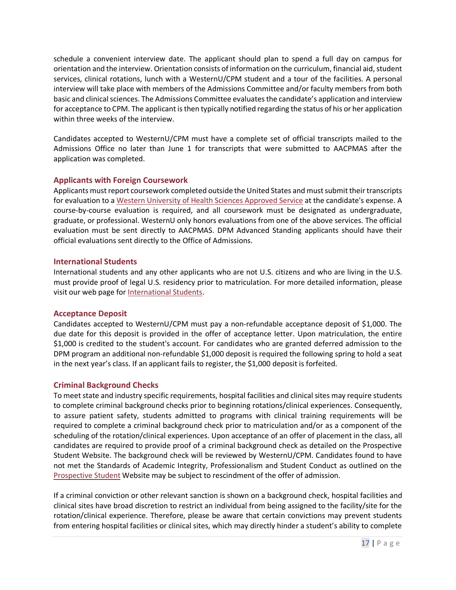schedule a convenient interview date. The applicant should plan to spend a full day on campus for orientation and the interview. Orientation consists of information on the curriculum, financial aid, student services, clinical rotations, lunch with a WesternU/CPM student and a tour of the facilities. A personal interview will take place with members of the Admissions Committee and/or faculty members from both basic and clinical sciences. The Admissions Committee evaluates the candidate's application and interview for acceptance to CPM. The applicant is then typically notified regarding the status of his or her application within three weeks of the interview.

Candidates accepted to WesternU/CPM must have a complete set of official transcripts mailed to the Admissions Office no later than June 1 for transcripts that were submitted to AACPMAS after the application was completed.

#### <span id="page-16-0"></span>**Applicants with Foreign Coursework**

Applicants must report coursework completed outside the United States and must submit their transcripts for evaluation to [a Western University of Health Sciences Approved Service](http://prospective.westernu.edu/podiatry/foreign/) at the candidate's expense. A course-by-course evaluation is required, and all coursework must be designated as undergraduate, graduate, or professional. WesternU only honors evaluations from one of the above services. The official evaluation must be sent directly to AACPMAS. DPM Advanced Standing applicants should have their official evaluations sent directly to the Office of Admissions.

#### <span id="page-16-1"></span>**International Students**

International students and any other applicants who are not U.S. citizens and who are living in the U.S. must provide proof of legal U.S. residency prior to matriculation. For more detailed information, please visit our web page fo[r International Students.](http://www.westernu.edu/international/international-welcome)

#### <span id="page-16-2"></span>**Acceptance Deposit**

Candidates accepted to WesternU/CPM must pay a non-refundable acceptance deposit of \$1,000. The due date for this deposit is provided in the offer of acceptance letter. Upon matriculation, the entire \$1,000 is credited to the student's account. For candidates who are granted deferred admission to the DPM program an additional non-refundable \$1,000 deposit is required the following spring to hold a seat in the next year's class. If an applicant fails to register, the \$1,000 deposit is forfeited.

#### <span id="page-16-3"></span>**Criminal Background Checks**

To meet state and industry specific requirements, hospital facilities and clinical sites may require students to complete criminal background checks prior to beginning rotations/clinical experiences. Consequently, to assure patient safety, students admitted to programs with clinical training requirements will be required to complete a criminal background check prior to matriculation and/or as a component of the scheduling of the rotation/clinical experiences. Upon acceptance of an offer of placement in the class, all candidates are required to provide proof of a criminal background check as detailed on the Prospective Student Website. The background check will be reviewed by WesternU/CPM. Candidates found to have not met the Standards of Academic Integrity, Professionalism and Student Conduct as outlined on the [Prospective Student](http://prospective.westernu.edu/podiatry/dpm/requirements/) Website may be subject to rescindment of the offer of admission.

If a criminal conviction or other relevant sanction is shown on a background check, hospital facilities and clinical sites have broad discretion to restrict an individual from being assigned to the facility/site for the rotation/clinical experience. Therefore, please be aware that certain convictions may prevent students from entering hospital facilities or clinical sites, which may directly hinder a student's ability to complete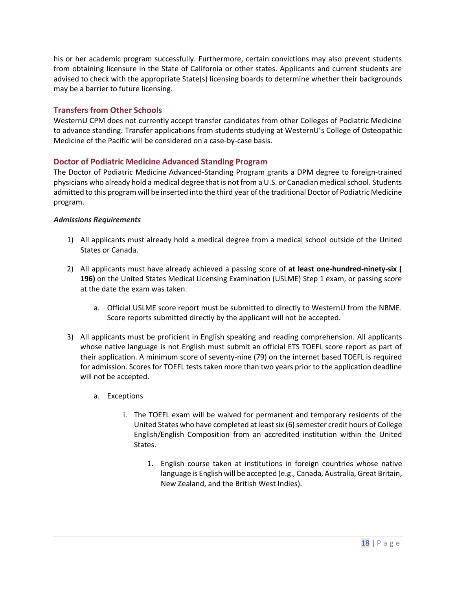his or her academic program successfully. Furthermore, certain convictions may also prevent students from obtaining licensure in the State of California or other states. Applicants and current students are advised to check with the appropriate State(s) licensing boards to determine whether their backgrounds may be a barrier to future licensing.

#### <span id="page-17-0"></span>**Transfers from Other Schools**

WesternU CPM does not currently accept transfer candidates from other Colleges of Podiatric Medicine to advance standing. Transfer applications from students studying at WesternU's College of Osteopathic Medicine of the Pacific will be considered on a case-by-case basis.

#### <span id="page-17-1"></span>**Doctor of Podiatric Medicine Advanced Standing Program**

The Doctor of Podiatric Medicine Advanced-Standing Program grants a DPM degree to foreign-trained physicians who already hold a medical degree that is not from a U.S. or Canadian medical school. Students admitted to this program will be inserted into the third year of the traditional Doctor of Podiatric Medicine program.

#### *Admissions Requirements*

- 1) All applicants must already hold a medical degree from a medical school outside of the United States or Canada.
- 2) All applicants must have already achieved a passing score of **at least one-hundred-ninety-six ( 196)** on the United States Medical Licensing Examination (USLME) Step 1 exam, or passing score at the date the exam was taken.
	- a. Official USLME score report must be submitted to directly to WesternU from the NBME. Score reports submitted directly by the applicant will not be accepted.
- 3) All applicants must be proficient in English speaking and reading comprehension. All applicants whose native language is not English must submit an official ETS TOEFL score report as part of their application. A minimum score of seventy-nine (79) on the internet based TOEFL is required for admission. Scores for TOEFL tests taken more than two years prior to the application deadline will not be accepted.
	- a. Exceptions
		- i. The TOEFL exam will be waived for permanent and temporary residents of the United States who have completed at least six (6) semester credit hours of College English/English Composition from an accredited institution within the United States.
			- 1. English course taken at institutions in foreign countries whose native language is English will be accepted (e.g., Canada, Australia, Great Britain, New Zealand, and the British West Indies).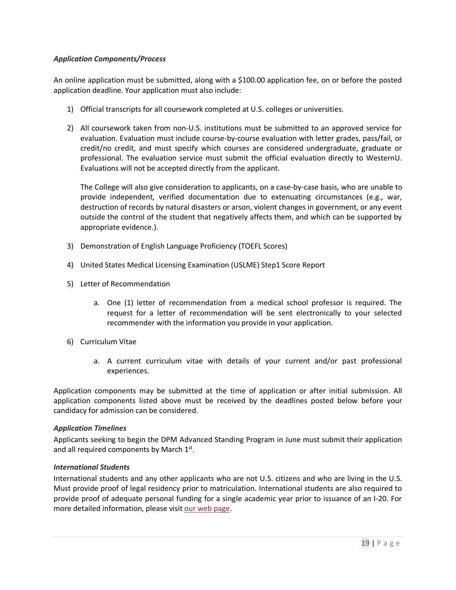#### *Application Components/Process*

An online application must be submitted, along with a \$100.00 application fee, on or before the posted application deadline. Your application must also include:

- 1) Official transcripts for all coursework completed at U.S. colleges or universities.
- 2) All coursework taken from non-U.S. institutions must be submitted to an approved service for evaluation. Evaluation must include course-by-course evaluation with letter grades, pass/fail, or credit/no credit, and must specify which courses are considered undergraduate, graduate or professional. The evaluation service must submit the official evaluation directly to WesternU. Evaluations will not be accepted directly from the applicant.

The College will also give consideration to applicants, on a case-by-case basis, who are unable to provide independent, verified documentation due to extenuating circumstances (e.g., war, destruction of records by natural disasters or arson, violent changes in government, or any event outside the control of the student that negatively affects them, and which can be supported by appropriate evidence.).

- 3) Demonstration of English Language Proficiency (TOEFL Scores)
- 4) United States Medical Licensing Examination (USLME) Step1 Score Report
- 5) Letter of Recommendation
	- a. One (1) letter of recommendation from a medical school professor is required. The request for a letter of recommendation will be sent electronically to your selected recommender with the information you provide in your application.
- 6) Curriculum Vitae
	- a. A current curriculum vitae with details of your current and/or past professional experiences.

Application components may be submitted at the time of application or after initial submission. All application components listed above must be received by the deadlines posted below before your candidacy for admission can be considered.

#### *Application Timelines*

Applicants seeking to begin the DPM Advanced Standing Program in June must submit their application and all required components by March  $1<sup>st</sup>$ .

#### *International Students*

International students and any other applicants who are not U.S. citizens and who are living in the U.S. Must provide proof of legal residency prior to matriculation. International students are also required to provide proof of adequate personal funding for a single academic year prior to issuance of an I-20. For more detailed information, please visi[t our web page.](http://www.westernu.edu/international/international-welcome)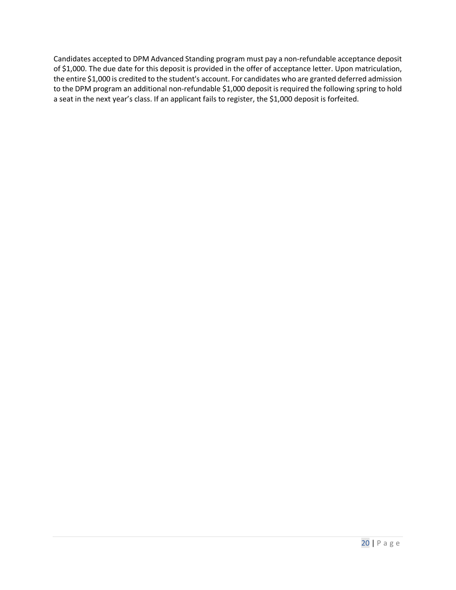Candidates accepted to DPM Advanced Standing program must pay a non-refundable acceptance deposit of \$1,000. The due date for this deposit is provided in the offer of acceptance letter. Upon matriculation, the entire \$1,000 is credited to the student's account. For candidates who are granted deferred admission to the DPM program an additional non-refundable \$1,000 deposit is required the following spring to hold a seat in the next year's class. If an applicant fails to register, the \$1,000 deposit is forfeited.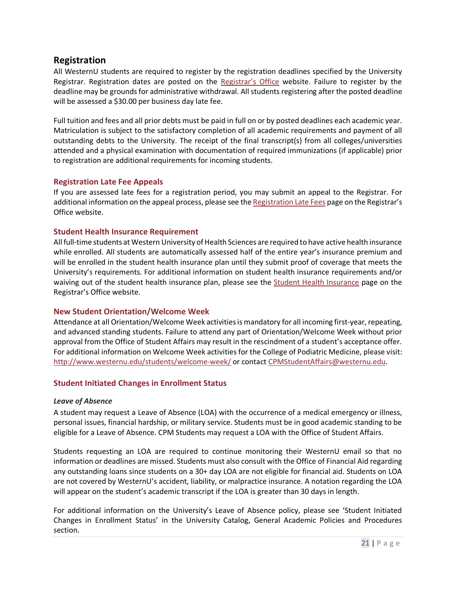## <span id="page-20-0"></span>**Registration**

All WesternU students are required to register by the registration deadlines specified by the University Registrar. Registration dates are posted on the [Registrar's Office](http://www.westernu.edu/registrar/registration-information/) website. Failure to register by the deadline may be grounds for administrative withdrawal. All students registering after the posted deadline will be assessed a \$30.00 per business day late fee.

Full tuition and fees and all prior debts must be paid in full on or by posted deadlines each academic year. Matriculation is subject to the satisfactory completion of all academic requirements and payment of all outstanding debts to the University. The receipt of the final transcript(s) from all colleges/universities attended and a physical examination with documentation of required immunizations (if applicable) prior to registration are additional requirements for incoming students.

#### <span id="page-20-1"></span>**Registration Late Fee Appeals**

If you are assessed late fees for a registration period, you may submit an appeal to the Registrar. For additional information on the appeal process, please see the [Registration Late Fees](http://www.westernu.edu/registrar/registration-information/registration-late-fees/) page on the Registrar's Office website.

#### <span id="page-20-2"></span>**Student Health Insurance Requirement**

All full-time students at Western University of Health Sciences are required to have active health insurance while enrolled. All students are automatically assessed half of the entire year's insurance premium and will be enrolled in the student health insurance plan until they submit proof of coverage that meets the University's requirements. For additional information on student health insurance requirements and/or waiving out of the student health insurance plan, please see the [Student Health Insurance](http://www.westernu.edu/registrar/registration-information/student-health-insurance/) page on the Registrar's Office website.

#### <span id="page-20-3"></span>**New Student Orientation/Welcome Week**

Attendance at all Orientation/Welcome Week activities is mandatory for all incoming first-year, repeating, and advanced standing students. Failure to attend any part of Orientation/Welcome Week without prior approval from the Office of Student Affairs may result in the rescindment of a student's acceptance offer. For additional information on Welcome Week activities for the College of Podiatric Medicine, please visit: <http://www.westernu.edu/students/welcome-week/> or contact [CPMStudentAffairs@westernu.edu.](mailto:CPMStudentAffairs@westernu.edu)

#### <span id="page-20-4"></span>**Student Initiated Changes in Enrollment Status**

#### *Leave of Absence*

A student may request a Leave of Absence (LOA) with the occurrence of a medical emergency or illness, personal issues, financial hardship, or military service. Students must be in good academic standing to be eligible for a Leave of Absence. CPM Students may request a LOA with the Office of Student Affairs.

Students requesting an LOA are required to continue monitoring their WesternU email so that no information or deadlines are missed. Students must also consult with the Office of Financial Aid regarding any outstanding loans since students on a 30+ day LOA are not eligible for financial aid. Students on LOA are not covered by WesternU's accident, liability, or malpractice insurance. A notation regarding the LOA will appear on the student's academic transcript if the LOA is greater than 30 days in length.

For additional information on the University's Leave of Absence policy, please see 'Student Initiated Changes in Enrollment Status' in the University Catalog, General Academic Policies and Procedures section.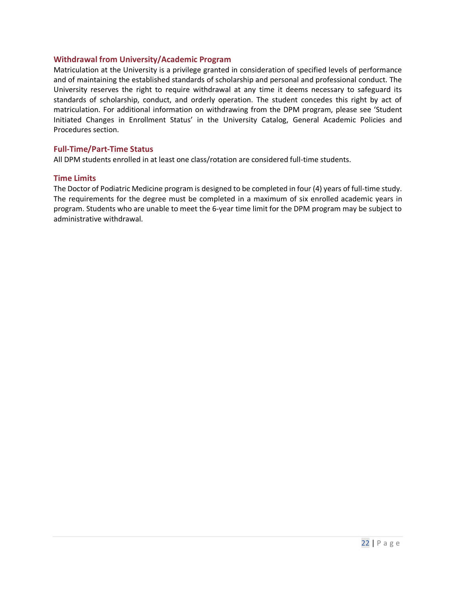#### <span id="page-21-0"></span>**Withdrawal from University/Academic Program**

Matriculation at the University is a privilege granted in consideration of specified levels of performance and of maintaining the established standards of scholarship and personal and professional conduct. The University reserves the right to require withdrawal at any time it deems necessary to safeguard its standards of scholarship, conduct, and orderly operation. The student concedes this right by act of matriculation. For additional information on withdrawing from the DPM program, please see 'Student Initiated Changes in Enrollment Status' in the University Catalog, General Academic Policies and Procedures section.

#### <span id="page-21-1"></span>**Full-Time/Part-Time Status**

All DPM students enrolled in at least one class/rotation are considered full-time students.

#### <span id="page-21-2"></span>**Time Limits**

The Doctor of Podiatric Medicine program is designed to be completed in four (4) years of full-time study. The requirements for the degree must be completed in a maximum of six enrolled academic years in program. Students who are unable to meet the 6-year time limit for the DPM program may be subject to administrative withdrawal.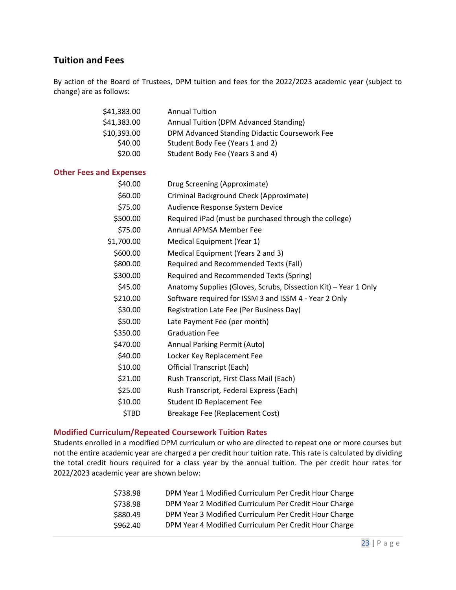## <span id="page-22-0"></span>**Tuition and Fees**

By action of the Board of Trustees, DPM tuition and fees for the 2022/2023 academic year (subject to change) are as follows:

<span id="page-22-1"></span>

| \$41,383.00                    | <b>Annual Tuition</b>                                           |
|--------------------------------|-----------------------------------------------------------------|
| \$41,383.00                    | Annual Tuition (DPM Advanced Standing)                          |
| \$10,393.00                    | DPM Advanced Standing Didactic Coursework Fee                   |
| \$40.00                        | Student Body Fee (Years 1 and 2)                                |
| \$20.00                        | Student Body Fee (Years 3 and 4)                                |
| <b>Other Fees and Expenses</b> |                                                                 |
| \$40.00                        | Drug Screening (Approximate)                                    |
| \$60.00                        | Criminal Background Check (Approximate)                         |
| \$75.00                        | Audience Response System Device                                 |
| \$500.00                       | Required iPad (must be purchased through the college)           |
| \$75.00                        | Annual APMSA Member Fee                                         |
| \$1,700.00                     | Medical Equipment (Year 1)                                      |
| \$600.00                       | Medical Equipment (Years 2 and 3)                               |
| \$800.00                       | Required and Recommended Texts (Fall)                           |
| \$300.00                       | Required and Recommended Texts (Spring)                         |
| \$45.00                        | Anatomy Supplies (Gloves, Scrubs, Dissection Kit) - Year 1 Only |
| \$210.00                       | Software required for ISSM 3 and ISSM 4 - Year 2 Only           |
| \$30.00                        | Registration Late Fee (Per Business Day)                        |
| \$50.00                        | Late Payment Fee (per month)                                    |
| \$350.00                       | <b>Graduation Fee</b>                                           |
| \$470.00                       | Annual Parking Permit (Auto)                                    |
| \$40.00                        | Locker Key Replacement Fee                                      |
| \$10.00                        | <b>Official Transcript (Each)</b>                               |
| \$21.00                        | Rush Transcript, First Class Mail (Each)                        |
| \$25.00                        | Rush Transcript, Federal Express (Each)                         |
| \$10.00                        | <b>Student ID Replacement Fee</b>                               |
| \$TBD                          | Breakage Fee (Replacement Cost)                                 |
|                                |                                                                 |

#### <span id="page-22-2"></span>**Modified Curriculum/Repeated Coursework Tuition Rates**

Students enrolled in a modified DPM curriculum or who are directed to repeat one or more courses but not the entire academic year are charged a per credit hour tuition rate. This rate is calculated by dividing the total credit hours required for a class year by the annual tuition. The per credit hour rates for 2022/2023 academic year are shown below:

| \$738.98 | DPM Year 1 Modified Curriculum Per Credit Hour Charge |
|----------|-------------------------------------------------------|
| \$738.98 | DPM Year 2 Modified Curriculum Per Credit Hour Charge |
| \$880.49 | DPM Year 3 Modified Curriculum Per Credit Hour Charge |
| \$962.40 | DPM Year 4 Modified Curriculum Per Credit Hour Charge |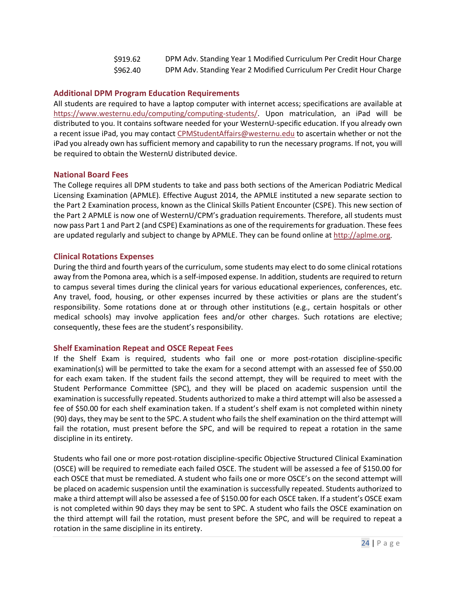| \$919.62 | DPM Adv. Standing Year 1 Modified Curriculum Per Credit Hour Charge |
|----------|---------------------------------------------------------------------|
| \$962.40 | DPM Adv. Standing Year 2 Modified Curriculum Per Credit Hour Charge |

#### <span id="page-23-0"></span>**Additional DPM Program Education Requirements**

All students are required to have a laptop computer with internet access; specifications are available at [https://www.westernu.edu/computing/computing-students/.](https://www.westernu.edu/computing/computing-students/) Upon matriculation, an iPad will be distributed to you. It contains software needed for your WesternU-specific education. If you already own a recent issue iPad, you may contact [CPMStudentAffairs@westernu.edu](mailto:CPMStudentAffairs@westernu.edu) to ascertain whether or not the iPad you already own has sufficient memory and capability to run the necessary programs. If not, you will be required to obtain the WesternU distributed device.

#### <span id="page-23-1"></span>**National Board Fees**

The College requires all DPM students to take and pass both sections of the American Podiatric Medical Licensing Examination (APMLE). Effective August 2014, the APMLE instituted a new separate section to the Part 2 Examination process, known as the Clinical Skills Patient Encounter (CSPE). This new section of the Part 2 APMLE is now one of WesternU/CPM's graduation requirements. Therefore, all students must now pass Part 1 and Part 2 (and CSPE) Examinations as one of the requirements for graduation. These fees are updated regularly and subject to change by APMLE. They can be found online at [http://aplme.org.](http://aplme.org/)

#### <span id="page-23-2"></span>**Clinical Rotations Expenses**

During the third and fourth years of the curriculum, some students may elect to do some clinical rotations away from the Pomona area, which is a self-imposed expense. In addition, students are required to return to campus several times during the clinical years for various educational experiences, conferences, etc. Any travel, food, housing, or other expenses incurred by these activities or plans are the student's responsibility. Some rotations done at or through other institutions (e.g., certain hospitals or other medical schools) may involve application fees and/or other charges. Such rotations are elective; consequently, these fees are the student's responsibility.

#### <span id="page-23-3"></span>**Shelf Examination Repeat and OSCE Repeat Fees**

If the Shelf Exam is required, students who fail one or more post-rotation discipline-specific examination(s) will be permitted to take the exam for a second attempt with an assessed fee of \$50.00 for each exam taken. If the student fails the second attempt, they will be required to meet with the Student Performance Committee (SPC), and they will be placed on academic suspension until the examination is successfully repeated. Students authorized to make a third attempt will also be assessed a fee of \$50.00 for each shelf examination taken. If a student's shelf exam is not completed within ninety (90) days, they may be sent to the SPC. A student who fails the shelf examination on the third attempt will fail the rotation, must present before the SPC, and will be required to repeat a rotation in the same discipline in its entirety.

Students who fail one or more post-rotation discipline-specific Objective Structured Clinical Examination (OSCE) will be required to remediate each failed OSCE. The student will be assessed a fee of \$150.00 for each OSCE that must be remediated. A student who fails one or more OSCE's on the second attempt will be placed on academic suspension until the examination is successfully repeated. Students authorized to make a third attempt will also be assessed a fee of \$150.00 for each OSCE taken. If a student's OSCE exam is not completed within 90 days they may be sent to SPC. A student who fails the OSCE examination on the third attempt will fail the rotation, must present before the SPC, and will be required to repeat a rotation in the same discipline in its entirety.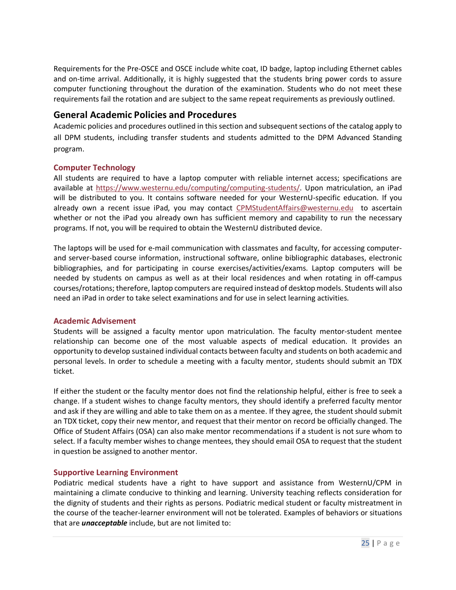Requirements for the Pre-OSCE and OSCE include white coat, ID badge, laptop including Ethernet cables and on-time arrival. Additionally, it is highly suggested that the students bring power cords to assure computer functioning throughout the duration of the examination. Students who do not meet these requirements fail the rotation and are subject to the same repeat requirements as previously outlined.

## <span id="page-24-0"></span>**General Academic Policies and Procedures**

Academic policies and procedures outlined in this section and subsequent sections of the catalog apply to all DPM students, including transfer students and students admitted to the DPM Advanced Standing program.

#### <span id="page-24-1"></span>**Computer Technology**

All students are required to have a laptop computer with reliable internet access; specifications are available at [https://www.westernu.edu/computing/computing-students/.](https://www.westernu.edu/computing/computing-students/) Upon matriculation, an iPad will be distributed to you. It contains software needed for your WesternU-specific education. If you already own a recent issue iPad, you may contact [CPMStudentAffairs@westernu.edu](mailto:CPMStudentAffairs@westernu.edu) to ascertain whether or not the iPad you already own has sufficient memory and capability to run the necessary programs. If not, you will be required to obtain the WesternU distributed device.

The laptops will be used for e-mail communication with classmates and faculty, for accessing computerand server-based course information, instructional software, online bibliographic databases, electronic bibliographies, and for participating in course exercises/activities/exams. Laptop computers will be needed by students on campus as well as at their local residences and when rotating in off-campus courses/rotations; therefore, laptop computers are required instead of desktop models. Students will also need an iPad in order to take select examinations and for use in select learning activities.

#### <span id="page-24-2"></span>**Academic Advisement**

Students will be assigned a faculty mentor upon matriculation. The faculty mentor-student mentee relationship can become one of the most valuable aspects of medical education. It provides an opportunity to develop sustained individual contacts between faculty and students on both academic and personal levels. In order to schedule a meeting with a faculty mentor, students should submit an TDX ticket.

If either the student or the faculty mentor does not find the relationship helpful, either is free to seek a change. If a student wishes to change faculty mentors, they should identify a preferred faculty mentor and ask if they are willing and able to take them on as a mentee. If they agree, the student should submit an TDX ticket, copy their new mentor, and request that their mentor on record be officially changed. The Office of Student Affairs (OSA) can also make mentor recommendations if a student is not sure whom to select. If a faculty member wishes to change mentees, they should email OSA to request that the student in question be assigned to another mentor.

#### <span id="page-24-3"></span>**Supportive Learning Environment**

Podiatric medical students have a right to have support and assistance from WesternU/CPM in maintaining a climate conducive to thinking and learning. University teaching reflects consideration for the dignity of students and their rights as persons. Podiatric medical student or faculty mistreatment in the course of the teacher-learner environment will not be tolerated. Examples of behaviors or situations that are *unacceptable* include, but are not limited to: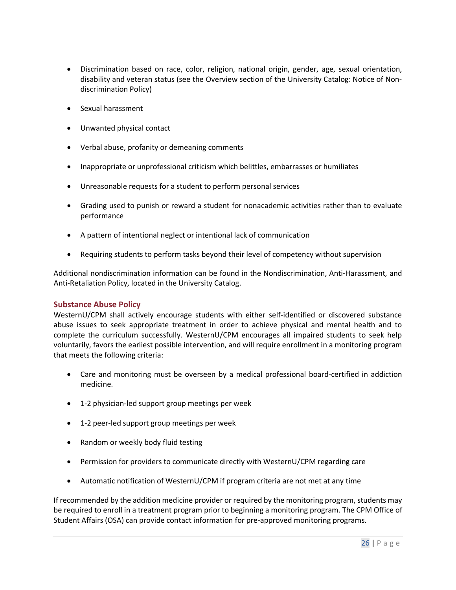- Discrimination based on race, color, religion, national origin, gender, age, sexual orientation, disability and veteran status (see the Overview section of the University Catalog: Notice of Nondiscrimination Policy)
- Sexual harassment
- Unwanted physical contact
- Verbal abuse, profanity or demeaning comments
- Inappropriate or unprofessional criticism which belittles, embarrasses or humiliates
- Unreasonable requests for a student to perform personal services
- Grading used to punish or reward a student for nonacademic activities rather than to evaluate performance
- A pattern of intentional neglect or intentional lack of communication
- Requiring students to perform tasks beyond their level of competency without supervision

Additional nondiscrimination information can be found in the Nondiscrimination, Anti-Harassment, and Anti-Retaliation Policy, located in the University Catalog.

#### <span id="page-25-0"></span>**Substance Abuse Policy**

WesternU/CPM shall actively encourage students with either self-identified or discovered substance abuse issues to seek appropriate treatment in order to achieve physical and mental health and to complete the curriculum successfully. WesternU/CPM encourages all impaired students to seek help voluntarily, favors the earliest possible intervention, and will require enrollment in a monitoring program that meets the following criteria:

- Care and monitoring must be overseen by a medical professional board-certified in addiction medicine.
- 1-2 physician-led support group meetings per week
- 1-2 peer-led support group meetings per week
- Random or weekly body fluid testing
- Permission for providers to communicate directly with WesternU/CPM regarding care
- Automatic notification of WesternU/CPM if program criteria are not met at any time

If recommended by the addition medicine provider or required by the monitoring program, students may be required to enroll in a treatment program prior to beginning a monitoring program. The CPM Office of Student Affairs (OSA) can provide contact information for pre-approved monitoring programs.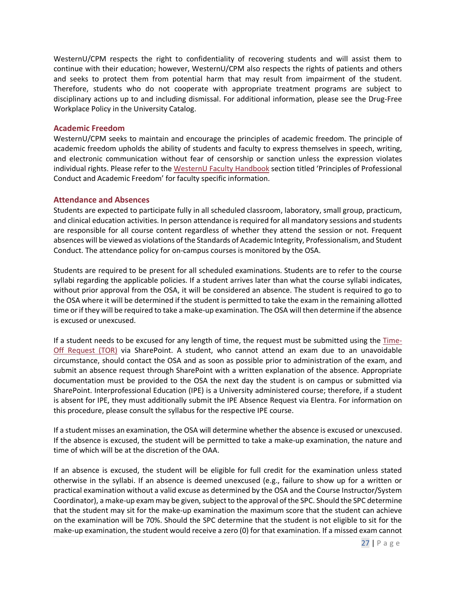WesternU/CPM respects the right to confidentiality of recovering students and will assist them to continue with their education; however, WesternU/CPM also respects the rights of patients and others and seeks to protect them from potential harm that may result from impairment of the student. Therefore, students who do not cooperate with appropriate treatment programs are subject to disciplinary actions up to and including dismissal. For additional information, please see the Drug-Free Workplace Policy in the University Catalog.

#### <span id="page-26-0"></span>**Academic Freedom**

WesternU/CPM seeks to maintain and encourage the principles of academic freedom. The principle of academic freedom upholds the ability of students and faculty to express themselves in speech, writing, and electronic communication without fear of censorship or sanction unless the expression violates individual rights. Please refer to the [WesternU Faculty Handbook](http://www.westernu.edu/academic-senate/as-mission/) section titled 'Principles of Professional Conduct and Academic Freedom' for faculty specific information.

#### <span id="page-26-1"></span>**Attendance and Absences**

Students are expected to participate fully in all scheduled classroom, laboratory, small group, practicum, and clinical education activities. In person attendance is required for all mandatory sessions and students are responsible for all course content regardless of whether they attend the session or not. Frequent absences will be viewed as violations of the Standards of Academic Integrity, Professionalism, and Student Conduct. The attendance policy for on-campus courses is monitored by the OSA.

Students are required to be present for all scheduled examinations. Students are to refer to the course syllabi regarding the applicable policies. If a student arrives later than what the course syllabi indicates, without prior approval from the OSA, it will be considered an absence. The student is required to go to the OSA where it will be determined if the student is permitted to take the exam in the remaining allotted time or if they will be required to take a make-up examination. The OSA will then determine if the absence is excused or unexcused.

If a student needs to be excused for any length of time, the request must be submitted using the  $Time$ [Off Request \(TOR\)](https://westernu.sharepoint.com/sites/cpm2/students/forms/tor/SitePages/Home.aspx) via SharePoint. A student, who cannot attend an exam due to an unavoidable circumstance, should contact the OSA and as soon as possible prior to administration of the exam, and submit an absence request through SharePoint with a written explanation of the absence. Appropriate documentation must be provided to the OSA the next day the student is on campus or submitted via SharePoint. Interprofessional Education (IPE) is a University administered course; therefore, if a student is absent for IPE, they must additionally submit the IPE Absence Request via Elentra. For information on this procedure, please consult the syllabus for the respective IPE course.

If a student misses an examination, the OSA will determine whether the absence is excused or unexcused. If the absence is excused, the student will be permitted to take a make-up examination, the nature and time of which will be at the discretion of the OAA.

If an absence is excused, the student will be eligible for full credit for the examination unless stated otherwise in the syllabi. If an absence is deemed unexcused (e.g., failure to show up for a written or practical examination without a valid excuse as determined by the OSA and the Course Instructor/System Coordinator), a make-up exam may be given, subject to the approval of the SPC. Should the SPC determine that the student may sit for the make-up examination the maximum score that the student can achieve on the examination will be 70%. Should the SPC determine that the student is not eligible to sit for the make-up examination, the student would receive a zero (0) for that examination. If a missed exam cannot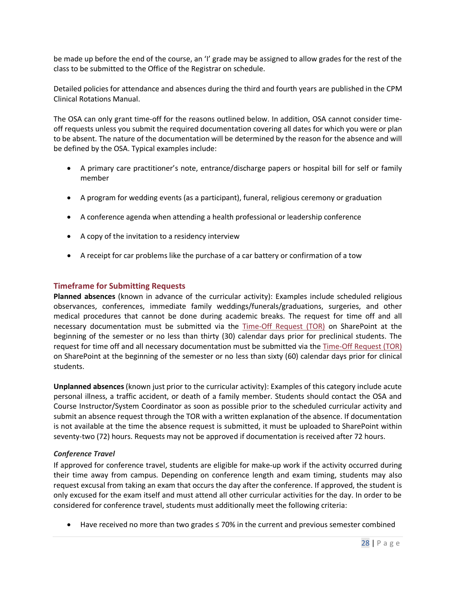be made up before the end of the course, an 'I' grade may be assigned to allow grades for the rest of the class to be submitted to the Office of the Registrar on schedule.

Detailed policies for attendance and absences during the third and fourth years are published in the CPM Clinical Rotations Manual.

The OSA can only grant time-off for the reasons outlined below. In addition, OSA cannot consider timeoff requests unless you submit the required documentation covering all dates for which you were or plan to be absent. The nature of the documentation will be determined by the reason for the absence and will be defined by the OSA. Typical examples include:

- A primary care practitioner's note, entrance/discharge papers or hospital bill for self or family member
- A program for wedding events (as a participant), funeral, religious ceremony or graduation
- A conference agenda when attending a health professional or leadership conference
- A copy of the invitation to a residency interview
- A receipt for car problems like the purchase of a car battery or confirmation of a tow

#### <span id="page-27-0"></span>**Timeframe for Submitting Requests**

**Planned absences** (known in advance of the curricular activity): Examples include scheduled religious observances, conferences, immediate family weddings/funerals/graduations, surgeries, and other medical procedures that cannot be done during academic breaks. The request for time off and all necessary documentation must be submitted via the [Time-Off Request \(TOR\)](https://westernu.sharepoint.com/sites/cpm2/students/forms/tor/SitePages/Home.aspx) on SharePoint at the beginning of the semester or no less than thirty (30) calendar days prior for preclinical students. The request for time off and all necessary documentation must be submitted via the [Time-Off Request \(TOR\)](https://westernu.sharepoint.com/sites/cpm2/students/forms/tor/SitePages/Home.aspx) on SharePoint at the beginning of the semester or no less than sixty (60) calendar days prior for clinical students.

**Unplanned absences** (known just prior to the curricular activity): Examples of this category include acute personal illness, a traffic accident, or death of a family member. Students should contact the OSA and Course Instructor/System Coordinator as soon as possible prior to the scheduled curricular activity and submit an absence request through the TOR with a written explanation of the absence. If documentation is not available at the time the absence request is submitted, it must be uploaded to SharePoint within seventy-two (72) hours. Requests may not be approved if documentation is received after 72 hours.

#### *Conference Travel*

If approved for conference travel, students are eligible for make-up work if the activity occurred during their time away from campus. Depending on conference length and exam timing, students may also request excusal from taking an exam that occurs the day after the conference. If approved, the student is only excused for the exam itself and must attend all other curricular activities for the day. In order to be considered for conference travel, students must additionally meet the following criteria:

• Have received no more than two grades ≤ 70% in the current and previous semester combined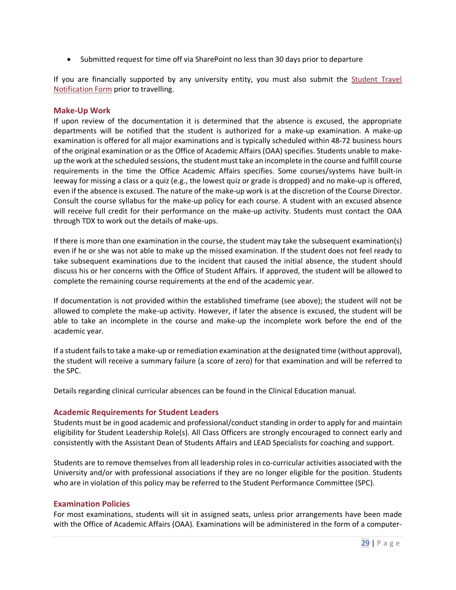• Submitted request for time off via SharePoint no less than 30 days prior to departure

If you are financially supported by any university entity, you must also submit the **Student Travel** [Notification Form](https://jprod.westernu.edu/studenttravel) prior to travelling.

#### <span id="page-28-0"></span>**Make-Up Work**

If upon review of the documentation it is determined that the absence is excused, the appropriate departments will be notified that the student is authorized for a make-up examination. A make-up examination is offered for all major examinations and is typically scheduled within 48-72 business hours of the original examination or as the Office of Academic Affairs (OAA) specifies. Students unable to makeup the work at the scheduled sessions, the student must take an incomplete in the course and fulfill course requirements in the time the Office Academic Affairs specifies. Some courses/systems have built-in leeway for missing a class or a quiz (e.g., the lowest quiz or grade is dropped) and no make-up is offered, even if the absence is excused. The nature of the make-up work is at the discretion of the Course Director. Consult the course syllabus for the make-up policy for each course. A student with an excused absence will receive full credit for their performance on the make-up activity. Students must contact the OAA through TDX to work out the details of make-ups.

If there is more than one examination in the course, the student may take the subsequent examination(s) even if he or she was not able to make up the missed examination. If the student does not feel ready to take subsequent examinations due to the incident that caused the initial absence, the student should discuss his or her concerns with the Office of Student Affairs. If approved, the student will be allowed to complete the remaining course requirements at the end of the academic year.

If documentation is not provided within the established timeframe (see above); the student will not be allowed to complete the make-up activity. However, if later the absence is excused, the student will be able to take an incomplete in the course and make-up the incomplete work before the end of the academic year.

If a student fails to take a make-up or remediation examination at the designated time (without approval), the student will receive a summary failure (a score of zero) for that examination and will be referred to the SPC.

Details regarding clinical curricular absences can be found in the Clinical Education manual.

#### <span id="page-28-1"></span>**Academic Requirements for Student Leaders**

Students must be in good academic and professional/conduct standing in order to apply for and maintain eligibility for Student Leadership Role(s). All Class Officers are strongly encouraged to connect early and consistently with the Assistant Dean of Students Affairs and LEAD Specialists for coaching and support.

Students are to remove themselves from all leadership roles in co-curricular activities associated with the University and/or with professional associations if they are no longer eligible for the position. Students who are in violation of this policy may be referred to the Student Performance Committee (SPC).

#### <span id="page-28-2"></span>**Examination Policies**

For most examinations, students will sit in assigned seats, unless prior arrangements have been made with the Office of Academic Affairs (OAA). Examinations will be administered in the form of a computer-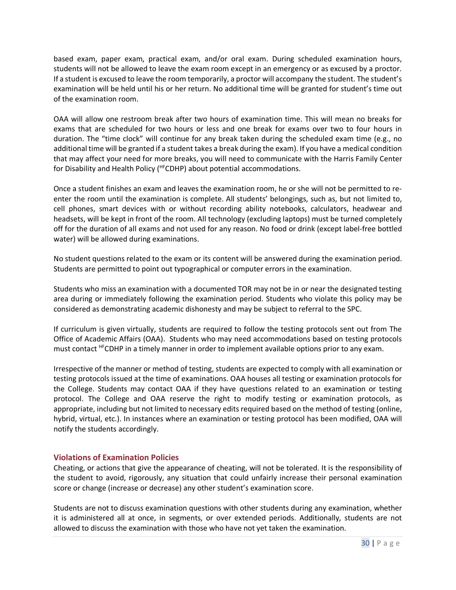based exam, paper exam, practical exam, and/or oral exam. During scheduled examination hours, students will not be allowed to leave the exam room except in an emergency or as excused by a proctor. If a student is excused to leave the room temporarily, a proctor will accompany the student. The student's examination will be held until his or her return. No additional time will be granted for student's time out of the examination room.

OAA will allow one restroom break after two hours of examination time. This will mean no breaks for exams that are scheduled for two hours or less and one break for exams over two to four hours in duration. The "time clock" will continue for any break taken during the scheduled exam time (e.g., no additional time will be granted if a student takes a break during the exam). If you have a medical condition that may affect your need for more breaks, you will need to communicate with the Harris Family Center for Disability and Health Policy (HFCDHP) about potential accommodations.

Once a student finishes an exam and leaves the examination room, he or she will not be permitted to reenter the room until the examination is complete. All students' belongings, such as, but not limited to, cell phones, smart devices with or without recording ability notebooks, calculators, headwear and headsets, will be kept in front of the room. All technology (excluding laptops) must be turned completely off for the duration of all exams and not used for any reason. No food or drink (except label-free bottled water) will be allowed during examinations.

No student questions related to the exam or its content will be answered during the examination period. Students are permitted to point out typographical or computer errors in the examination.

Students who miss an examination with a documented TOR may not be in or near the designated testing area during or immediately following the examination period. Students who violate this policy may be considered as demonstrating academic dishonesty and may be subject to referral to the SPC.

If curriculum is given virtually, students are required to follow the testing protocols sent out from The Office of Academic Affairs (OAA). Students who may need accommodations based on testing protocols must contact <sup>HF</sup>CDHP in a timely manner in order to implement available options prior to any exam.

Irrespective of the manner or method of testing, students are expected to comply with all examination or testing protocols issued at the time of examinations. OAA houses all testing or examination protocols for the College. Students may contact OAA if they have questions related to an examination or testing protocol. The College and OAA reserve the right to modify testing or examination protocols, as appropriate, including but not limited to necessary edits required based on the method of testing (online, hybrid, virtual, etc.). In instances where an examination or testing protocol has been modified, OAA will notify the students accordingly.

#### <span id="page-29-0"></span>**Violations of Examination Policies**

Cheating, or actions that give the appearance of cheating, will not be tolerated. It is the responsibility of the student to avoid, rigorously, any situation that could unfairly increase their personal examination score or change (increase or decrease) any other student's examination score.

Students are not to discuss examination questions with other students during any examination, whether it is administered all at once, in segments, or over extended periods. Additionally, students are not allowed to discuss the examination with those who have not yet taken the examination.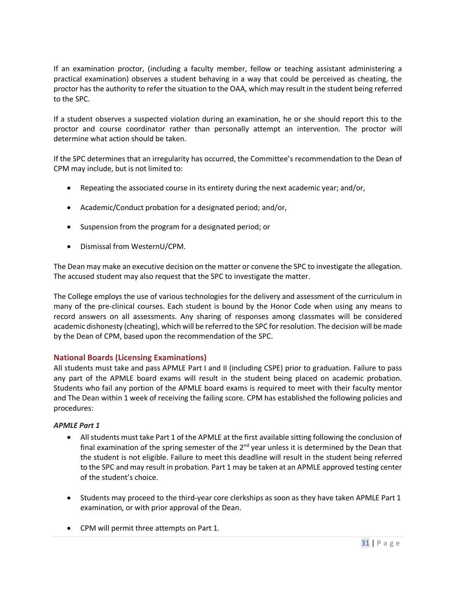If an examination proctor, (including a faculty member, fellow or teaching assistant administering a practical examination) observes a student behaving in a way that could be perceived as cheating, the proctor has the authority to refer the situation to the OAA, which may result in the student being referred to the SPC.

If a student observes a suspected violation during an examination, he or she should report this to the proctor and course coordinator rather than personally attempt an intervention. The proctor will determine what action should be taken.

If the SPC determines that an irregularity has occurred, the Committee's recommendation to the Dean of CPM may include, but is not limited to:

- Repeating the associated course in its entirety during the next academic year; and/or,
- Academic/Conduct probation for a designated period; and/or,
- Suspension from the program for a designated period; or
- Dismissal from WesternU/CPM.

The Dean may make an executive decision on the matter or convene the SPC to investigate the allegation. The accused student may also request that the SPC to investigate the matter.

The College employs the use of various technologies for the delivery and assessment of the curriculum in many of the pre-clinical courses. Each student is bound by the Honor Code when using any means to record answers on all assessments. Any sharing of responses among classmates will be considered academic dishonesty (cheating), which will be referred to the SPC for resolution. The decision will be made by the Dean of CPM, based upon the recommendation of the SPC.

#### <span id="page-30-0"></span>**National Boards (Licensing Examinations)**

All students must take and pass APMLE Part I and II (including CSPE) prior to graduation. Failure to pass any part of the APMLE board exams will result in the student being placed on academic probation. Students who fail any portion of the APMLE board exams is required to meet with their faculty mentor and The Dean within 1 week of receiving the failing score. CPM has established the following policies and procedures:

#### *APMLE Part 1*

- All students must take Part 1 of the APMLE at the first available sitting following the conclusion of final examination of the spring semester of the  $2<sup>nd</sup>$  year unless it is determined by the Dean that the student is not eligible. Failure to meet this deadline will result in the student being referred to the SPC and may result in probation. Part 1 may be taken at an APMLE approved testing center of the student's choice.
- Students may proceed to the third-year core clerkships as soon as they have taken APMLE Part 1 examination, or with prior approval of the Dean.
- CPM will permit three attempts on Part 1.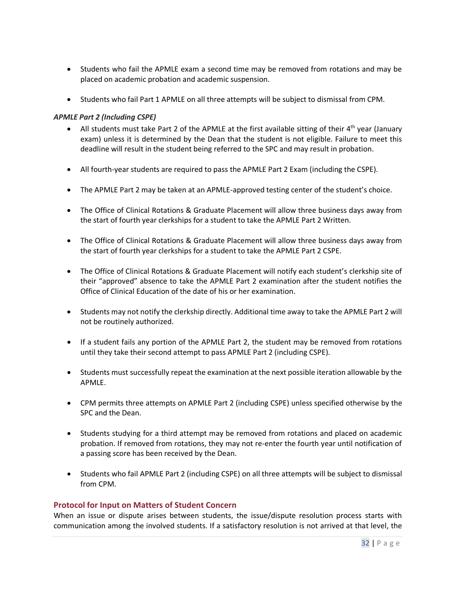- Students who fail the APMLE exam a second time may be removed from rotations and may be placed on academic probation and academic suspension.
- Students who fail Part 1 APMLE on all three attempts will be subject to dismissal from CPM.

#### *APMLE Part 2 (Including CSPE)*

- All students must take Part 2 of the APMLE at the first available sitting of their  $4<sup>th</sup>$  year (January exam) unless it is determined by the Dean that the student is not eligible. Failure to meet this deadline will result in the student being referred to the SPC and may result in probation.
- All fourth-year students are required to pass the APMLE Part 2 Exam (including the CSPE).
- The APMLE Part 2 may be taken at an APMLE-approved testing center of the student's choice.
- The Office of Clinical Rotations & Graduate Placement will allow three business days away from the start of fourth year clerkships for a student to take the APMLE Part 2 Written.
- The Office of Clinical Rotations & Graduate Placement will allow three business days away from the start of fourth year clerkships for a student to take the APMLE Part 2 CSPE.
- The Office of Clinical Rotations & Graduate Placement will notify each student's clerkship site of their "approved" absence to take the APMLE Part 2 examination after the student notifies the Office of Clinical Education of the date of his or her examination.
- Students may not notify the clerkship directly. Additional time away to take the APMLE Part 2 will not be routinely authorized.
- If a student fails any portion of the APMLE Part 2, the student may be removed from rotations until they take their second attempt to pass APMLE Part 2 (including CSPE).
- Students must successfully repeat the examination at the next possible iteration allowable by the APMLE.
- CPM permits three attempts on APMLE Part 2 (including CSPE) unless specified otherwise by the SPC and the Dean.
- Students studying for a third attempt may be removed from rotations and placed on academic probation. If removed from rotations, they may not re-enter the fourth year until notification of a passing score has been received by the Dean.
- Students who fail APMLE Part 2 (including CSPE) on all three attempts will be subject to dismissal from CPM.

#### <span id="page-31-0"></span>**Protocol for Input on Matters of Student Concern**

When an issue or dispute arises between students, the issue/dispute resolution process starts with communication among the involved students. If a satisfactory resolution is not arrived at that level, the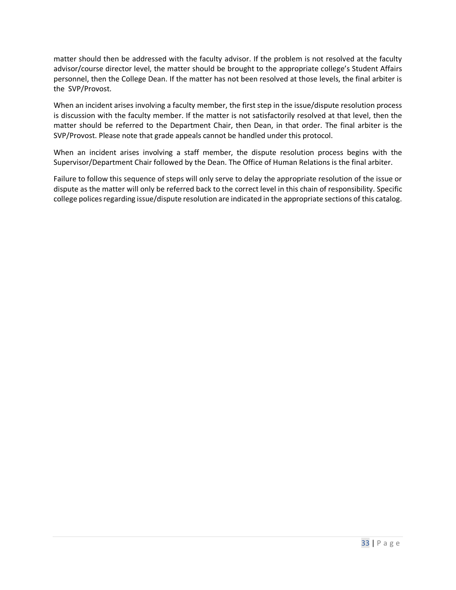matter should then be addressed with the faculty advisor. If the problem is not resolved at the faculty advisor/course director level, the matter should be brought to the appropriate college's Student Affairs personnel, then the College Dean. If the matter has not been resolved at those levels, the final arbiter is the SVP/Provost.

When an incident arises involving a faculty member, the first step in the issue/dispute resolution process is discussion with the faculty member. If the matter is not satisfactorily resolved at that level, then the matter should be referred to the Department Chair, then Dean, in that order. The final arbiter is the SVP/Provost. Please note that grade appeals cannot be handled under this protocol.

When an incident arises involving a staff member, the dispute resolution process begins with the Supervisor/Department Chair followed by the Dean. The Office of Human Relations is the final arbiter.

Failure to follow this sequence of steps will only serve to delay the appropriate resolution of the issue or dispute as the matter will only be referred back to the correct level in this chain of responsibility. Specific college polices regarding issue/dispute resolution are indicated in the appropriate sections of this catalog.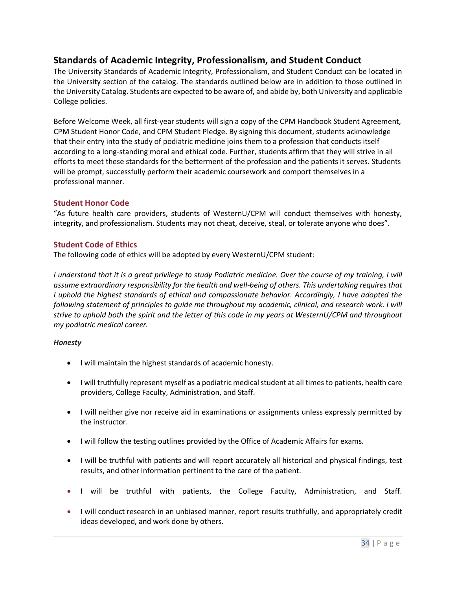## <span id="page-33-0"></span>**Standards of Academic Integrity, Professionalism, and Student Conduct**

The University Standards of Academic Integrity, Professionalism, and Student Conduct can be located in the University section of the catalog. The standards outlined below are in addition to those outlined in the University Catalog. Students are expected to be aware of, and abide by, both University and applicable College policies.

Before Welcome Week, all first-year students will sign a copy of the CPM Handbook Student Agreement, CPM Student Honor Code, and CPM Student Pledge. By signing this document, students acknowledge that their entry into the study of podiatric medicine joins them to a profession that conducts itself according to a long-standing moral and ethical code. Further, students affirm that they will strive in all efforts to meet these standards for the betterment of the profession and the patients it serves. Students will be prompt, successfully perform their academic coursework and comport themselves in a professional manner.

#### <span id="page-33-1"></span>**Student Honor Code**

"As future health care providers, students of WesternU/CPM will conduct themselves with honesty, integrity, and professionalism. Students may not cheat, deceive, steal, or tolerate anyone who does".

#### <span id="page-33-2"></span>**Student Code of Ethics**

The following code of ethics will be adopted by every WesternU/CPM student:

*I* understand that it is a great privilege to study Podiatric medicine. Over the course of my training, I will *assume extraordinary responsibility for the health and well-being of others. This undertaking requires that I uphold the highest standards of ethical and compassionate behavior. Accordingly, I have adopted the following statement of principles to guide me throughout my academic, clinical, and research work. I will strive to uphold both the spirit and the letter of this code in my years at WesternU/CPM and throughout my podiatric medical career.* 

#### *Honesty*

- I will maintain the highest standards of academic honesty.
- I will truthfully represent myself as a podiatric medical student at all times to patients, health care providers, College Faculty, Administration, and Staff.
- I will neither give nor receive aid in examinations or assignments unless expressly permitted by the instructor.
- I will follow the testing outlines provided by the Office of Academic Affairs for exams.
- I will be truthful with patients and will report accurately all historical and physical findings, test results, and other information pertinent to the care of the patient.
- I will be truthful with patients, the College Faculty, Administration, and Staff.
- I will conduct research in an unbiased manner, report results truthfully, and appropriately credit ideas developed, and work done by others.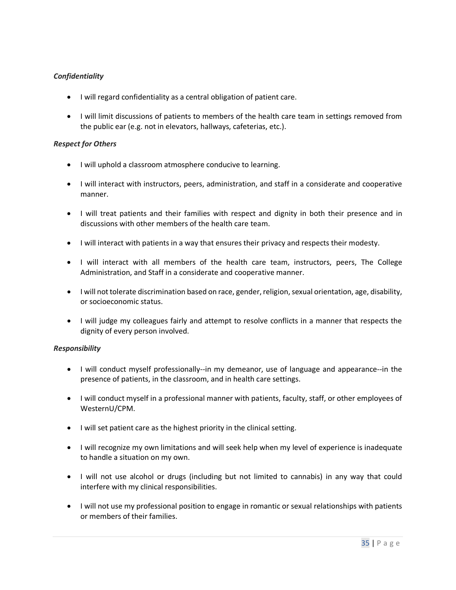#### *Confidentiality*

- I will regard confidentiality as a central obligation of patient care.
- I will limit discussions of patients to members of the health care team in settings removed from the public ear (e.g. not in elevators, hallways, cafeterias, etc.).

#### *Respect for Others*

- I will uphold a classroom atmosphere conducive to learning.
- I will interact with instructors, peers, administration, and staff in a considerate and cooperative manner.
- I will treat patients and their families with respect and dignity in both their presence and in discussions with other members of the health care team.
- I will interact with patients in a way that ensures their privacy and respects their modesty.
- I will interact with all members of the health care team, instructors, peers, The College Administration, and Staff in a considerate and cooperative manner.
- I will not tolerate discrimination based on race, gender, religion, sexual orientation, age, disability, or socioeconomic status.
- I will judge my colleagues fairly and attempt to resolve conflicts in a manner that respects the dignity of every person involved.

#### *Responsibility*

- I will conduct myself professionally--in my demeanor, use of language and appearance--in the presence of patients, in the classroom, and in health care settings.
- I will conduct myself in a professional manner with patients, faculty, staff, or other employees of WesternU/CPM.
- I will set patient care as the highest priority in the clinical setting.
- I will recognize my own limitations and will seek help when my level of experience is inadequate to handle a situation on my own.
- I will not use alcohol or drugs (including but not limited to cannabis) in any way that could interfere with my clinical responsibilities.
- I will not use my professional position to engage in romantic or sexual relationships with patients or members of their families.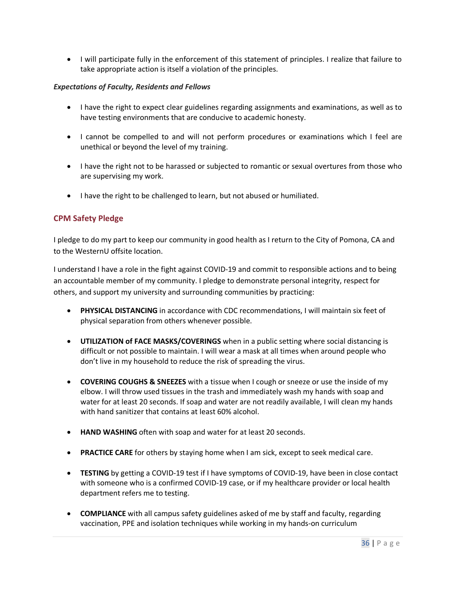• I will participate fully in the enforcement of this statement of principles. I realize that failure to take appropriate action is itself a violation of the principles.

#### *Expectations of Faculty, Residents and Fellows*

- I have the right to expect clear guidelines regarding assignments and examinations, as well as to have testing environments that are conducive to academic honesty.
- I cannot be compelled to and will not perform procedures or examinations which I feel are unethical or beyond the level of my training.
- I have the right not to be harassed or subjected to romantic or sexual overtures from those who are supervising my work.
- I have the right to be challenged to learn, but not abused or humiliated.

#### <span id="page-35-0"></span>**CPM Safety Pledge**

I pledge to do my part to keep our community in good health as I return to the City of Pomona, CA and to the WesternU offsite location.

I understand I have a role in the fight against COVID-19 and commit to responsible actions and to being an accountable member of my community. I pledge to demonstrate personal integrity, respect for others, and support my university and surrounding communities by practicing:

- **PHYSICAL DISTANCING** in accordance with CDC recommendations, I will maintain six feet of physical separation from others whenever possible.
- **UTILIZATION of FACE MASKS/COVERINGS** when in a public setting where social distancing is difficult or not possible to maintain. I will wear a mask at all times when around people who don't live in my household to reduce the risk of spreading the virus.
- **COVERING COUGHS & SNEEZES** with a tissue when I cough or sneeze or use the inside of my elbow. I will throw used tissues in the trash and immediately wash my hands with soap and water for at least 20 seconds. If soap and water are not readily available, I will clean my hands with hand sanitizer that contains at least 60% alcohol.
- **HAND WASHING** often with soap and water for at least 20 seconds.
- **PRACTICE CARE** for others by staying home when I am sick, except to seek medical care.
- **TESTING** by getting a COVID-19 test if I have symptoms of COVID-19, have been in close contact with someone who is a confirmed COVID-19 case, or if my healthcare provider or local health department refers me to testing.
- **COMPLIANCE** with all campus safety guidelines asked of me by staff and faculty, regarding vaccination, PPE and isolation techniques while working in my hands-on curriculum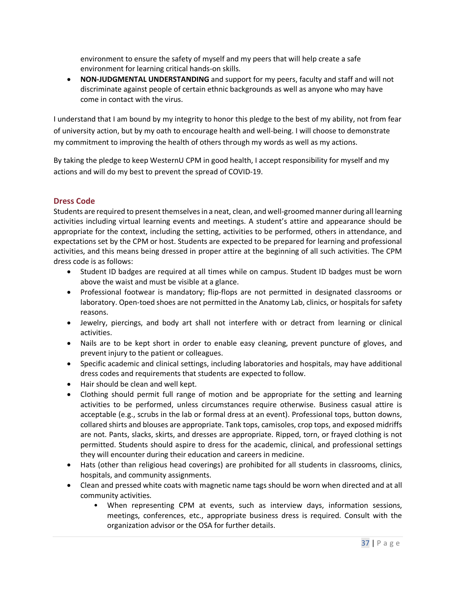environment to ensure the safety of myself and my peers that will help create a safe environment for learning critical hands-on skills.

• **NON-JUDGMENTAL UNDERSTANDING** and support for my peers, faculty and staff and will not discriminate against people of certain ethnic backgrounds as well as anyone who may have come in contact with the virus.

I understand that I am bound by my integrity to honor this pledge to the best of my ability, not from fear of university action, but by my oath to encourage health and well-being. I will choose to demonstrate my commitment to improving the health of others through my words as well as my actions.

By taking the pledge to keep WesternU CPM in good health, I accept responsibility for myself and my actions and will do my best to prevent the spread of COVID-19.

## <span id="page-36-0"></span>**Dress Code**

Students are required to present themselves in a neat, clean, and well-groomed manner during all learning activities including virtual learning events and meetings. A student's attire and appearance should be appropriate for the context, including the setting, activities to be performed, others in attendance, and expectations set by the CPM or host. Students are expected to be prepared for learning and professional activities, and this means being dressed in proper attire at the beginning of all such activities. The CPM dress code is as follows:

- Student ID badges are required at all times while on campus. Student ID badges must be worn above the waist and must be visible at a glance.
- Professional footwear is mandatory; flip-flops are not permitted in designated classrooms or laboratory. Open-toed shoes are not permitted in the Anatomy Lab, clinics, or hospitals for safety reasons.
- Jewelry, piercings, and body art shall not interfere with or detract from learning or clinical activities.
- Nails are to be kept short in order to enable easy cleaning, prevent puncture of gloves, and prevent injury to the patient or colleagues.
- Specific academic and clinical settings, including laboratories and hospitals, may have additional dress codes and requirements that students are expected to follow.
- Hair should be clean and well kept.
- Clothing should permit full range of motion and be appropriate for the setting and learning activities to be performed, unless circumstances require otherwise. Business casual attire is acceptable (e.g., scrubs in the lab or formal dress at an event). Professional tops, button downs, collared shirts and blouses are appropriate. Tank tops, camisoles, crop tops, and exposed midriffs are not. Pants, slacks, skirts, and dresses are appropriate. Ripped, torn, or frayed clothing is not permitted. Students should aspire to dress for the academic, clinical, and professional settings they will encounter during their education and careers in medicine.
- Hats (other than religious head coverings) are prohibited for all students in classrooms, clinics, hospitals, and community assignments.
- Clean and pressed white coats with magnetic name tags should be worn when directed and at all community activities.
	- When representing CPM at events, such as interview days, information sessions, meetings, conferences, etc., appropriate business dress is required. Consult with the organization advisor or the OSA for further details.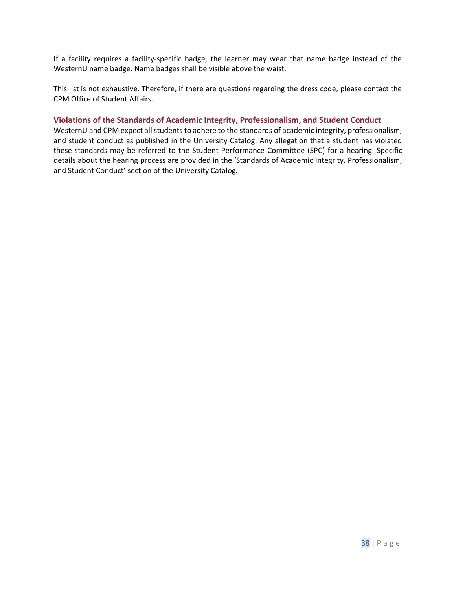If a facility requires a facility-specific badge, the learner may wear that name badge instead of the WesternU name badge. Name badges shall be visible above the waist.

This list is not exhaustive. Therefore, if there are questions regarding the dress code, please contact the CPM Office of Student Affairs.

#### <span id="page-37-0"></span>**Violations of the Standards of Academic Integrity, Professionalism, and Student Conduct**

WesternU and CPM expect all students to adhere to the standards of academic integrity, professionalism, and student conduct as published in the University Catalog. Any allegation that a student has violated these standards may be referred to the Student Performance Committee (SPC) for a hearing. Specific details about the hearing process are provided in the 'Standards of Academic Integrity, Professionalism, and Student Conduct' section of the University Catalog.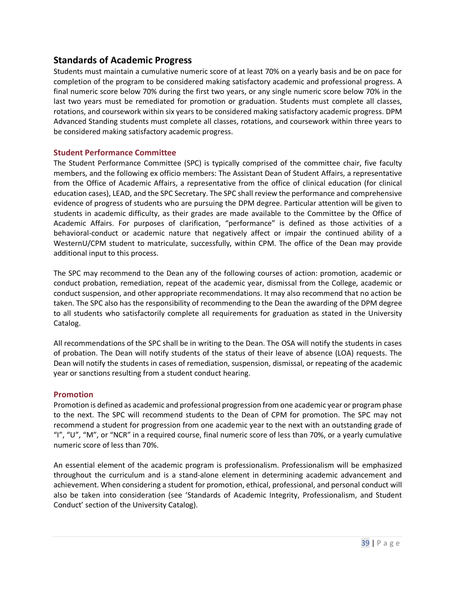## <span id="page-38-0"></span>**Standards of Academic Progress**

Students must maintain a cumulative numeric score of at least 70% on a yearly basis and be on pace for completion of the program to be considered making satisfactory academic and professional progress. A final numeric score below 70% during the first two years, or any single numeric score below 70% in the last two years must be remediated for promotion or graduation. Students must complete all classes, rotations, and coursework within six years to be considered making satisfactory academic progress. DPM Advanced Standing students must complete all classes, rotations, and coursework within three years to be considered making satisfactory academic progress.

#### <span id="page-38-1"></span>**Student Performance Committee**

The Student Performance Committee (SPC) is typically comprised of the committee chair, five faculty members, and the following ex officio members: The Assistant Dean of Student Affairs, a representative from the Office of Academic Affairs, a representative from the office of clinical education (for clinical education cases), LEAD, and the SPC Secretary. The SPC shall review the performance and comprehensive evidence of progress of students who are pursuing the DPM degree. Particular attention will be given to students in academic difficulty, as their grades are made available to the Committee by the Office of Academic Affairs. For purposes of clarification, "performance" is defined as those activities of a behavioral-conduct or academic nature that negatively affect or impair the continued ability of a WesternU/CPM student to matriculate, successfully, within CPM. The office of the Dean may provide additional input to this process.

The SPC may recommend to the Dean any of the following courses of action: promotion, academic or conduct probation, remediation, repeat of the academic year, dismissal from the College, academic or conduct suspension, and other appropriate recommendations. It may also recommend that no action be taken. The SPC also has the responsibility of recommending to the Dean the awarding of the DPM degree to all students who satisfactorily complete all requirements for graduation as stated in the University Catalog.

All recommendations of the SPC shall be in writing to the Dean. The OSA will notify the students in cases of probation. The Dean will notify students of the status of their leave of absence (LOA) requests. The Dean will notify the students in cases of remediation, suspension, dismissal, or repeating of the academic year or sanctions resulting from a student conduct hearing.

#### <span id="page-38-2"></span>**Promotion**

Promotion is defined as academic and professional progression from one academic year or program phase to the next. The SPC will recommend students to the Dean of CPM for promotion. The SPC may not recommend a student for progression from one academic year to the next with an outstanding grade of "I", "U", "M", or "NCR" in a required course, final numeric score of less than 70%, or a yearly cumulative numeric score of less than 70%.

An essential element of the academic program is professionalism. Professionalism will be emphasized throughout the curriculum and is a stand-alone element in determining academic advancement and achievement. When considering a student for promotion, ethical, professional, and personal conduct will also be taken into consideration (see 'Standards of Academic Integrity, Professionalism, and Student Conduct' section of the University Catalog).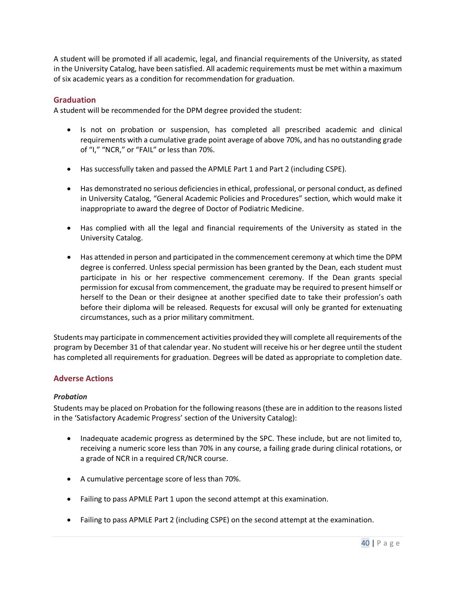A student will be promoted if all academic, legal, and financial requirements of the University, as stated in the University Catalog, have been satisfied. All academic requirements must be met within a maximum of six academic years as a condition for recommendation for graduation.

#### <span id="page-39-0"></span>**Graduation**

A student will be recommended for the DPM degree provided the student:

- Is not on probation or suspension, has completed all prescribed academic and clinical requirements with a cumulative grade point average of above 70%, and has no outstanding grade of "I," "NCR," or "FAIL" or less than 70%.
- Has successfully taken and passed the APMLE Part 1 and Part 2 (including CSPE).
- Has demonstrated no serious deficiencies in ethical, professional, or personal conduct, as defined in University Catalog, "General Academic Policies and Procedures" section, which would make it inappropriate to award the degree of Doctor of Podiatric Medicine.
- Has complied with all the legal and financial requirements of the University as stated in the University Catalog.
- Has attended in person and participated in the commencement ceremony at which time the DPM degree is conferred. Unless special permission has been granted by the Dean, each student must participate in his or her respective commencement ceremony. If the Dean grants special permission for excusal from commencement, the graduate may be required to present himself or herself to the Dean or their designee at another specified date to take their profession's oath before their diploma will be released. Requests for excusal will only be granted for extenuating circumstances, such as a prior military commitment.

Students may participate in commencement activities provided they will complete all requirements of the program by December 31 of that calendar year. No student will receive his or her degree until the student has completed all requirements for graduation. Degrees will be dated as appropriate to completion date.

#### <span id="page-39-1"></span>**Adverse Actions**

#### *Probation*

Students may be placed on Probation for the following reasons (these are in addition to the reasons listed in the 'Satisfactory Academic Progress' section of the University Catalog):

- Inadequate academic progress as determined by the SPC. These include, but are not limited to, receiving a numeric score less than 70% in any course, a failing grade during clinical rotations, or a grade of NCR in a required CR/NCR course.
- A cumulative percentage score of less than 70%.
- Failing to pass APMLE Part 1 upon the second attempt at this examination.
- Failing to pass APMLE Part 2 (including CSPE) on the second attempt at the examination.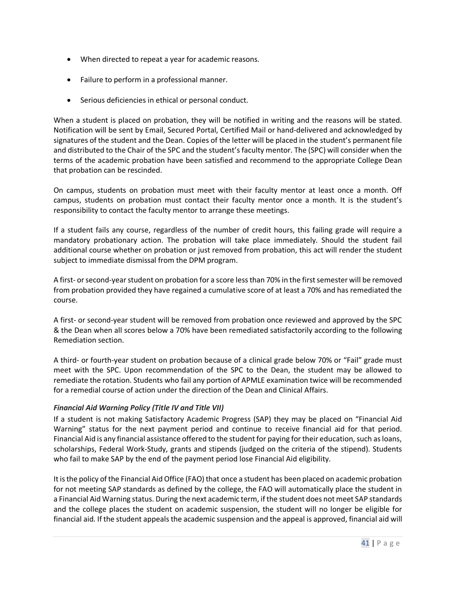- When directed to repeat a year for academic reasons.
- Failure to perform in a professional manner.
- Serious deficiencies in ethical or personal conduct.

When a student is placed on probation, they will be notified in writing and the reasons will be stated. Notification will be sent by Email, Secured Portal, Certified Mail or hand-delivered and acknowledged by signatures of the student and the Dean. Copies of the letter will be placed in the student's permanent file and distributed to the Chair of the SPC and the student's faculty mentor. The (SPC) will consider when the terms of the academic probation have been satisfied and recommend to the appropriate College Dean that probation can be rescinded.

On campus, students on probation must meet with their faculty mentor at least once a month. Off campus, students on probation must contact their faculty mentor once a month. It is the student's responsibility to contact the faculty mentor to arrange these meetings.

If a student fails any course, regardless of the number of credit hours, this failing grade will require a mandatory probationary action. The probation will take place immediately. Should the student fail additional course whether on probation or just removed from probation, this act will render the student subject to immediate dismissal from the DPM program.

A first- or second-yearstudent on probation for a score less than 70% in the first semester will be removed from probation provided they have regained a cumulative score of at least a 70% and has remediated the course.

A first- or second-year student will be removed from probation once reviewed and approved by the SPC & the Dean when all scores below a 70% have been remediated satisfactorily according to the following Remediation section.

A third- or fourth-year student on probation because of a clinical grade below 70% or "Fail" grade must meet with the SPC. Upon recommendation of the SPC to the Dean, the student may be allowed to remediate the rotation. Students who fail any portion of APMLE examination twice will be recommended for a remedial course of action under the direction of the Dean and Clinical Affairs.

#### *Financial Aid Warning Policy (Title IV and Title VII)*

If a student is not making Satisfactory Academic Progress (SAP) they may be placed on "Financial Aid Warning" status for the next payment period and continue to receive financial aid for that period. Financial Aid is any financial assistance offered to the student for paying for their education, such as loans, scholarships, Federal Work-Study, grants and stipends (judged on the criteria of the stipend). Students who fail to make SAP by the end of the payment period lose Financial Aid eligibility.

It is the policy of the Financial Aid Office (FAO) that once a student has been placed on academic probation for not meeting SAP standards as defined by the college, the FAO will automatically place the student in a Financial Aid Warning status. During the next academic term, if the student does not meet SAP standards and the college places the student on academic suspension, the student will no longer be eligible for financial aid. If the student appeals the academic suspension and the appeal is approved, financial aid will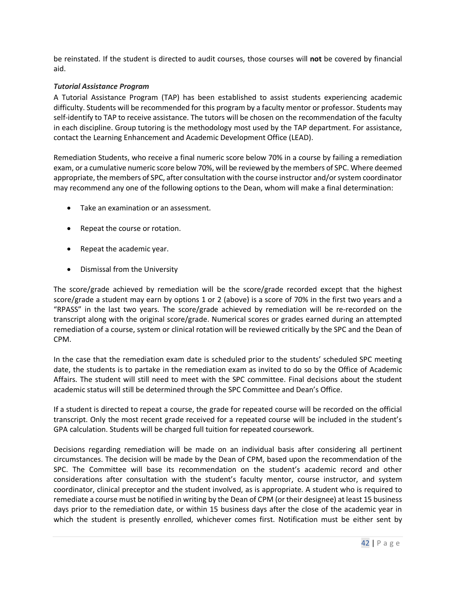be reinstated. If the student is directed to audit courses, those courses will **not** be covered by financial aid.

#### *Tutorial Assistance Program*

A Tutorial Assistance Program (TAP) has been established to assist students experiencing academic difficulty. Students will be recommended for this program by a faculty mentor or professor. Students may self-identify to TAP to receive assistance. The tutors will be chosen on the recommendation of the faculty in each discipline. Group tutoring is the methodology most used by the TAP department. For assistance, contact the Learning Enhancement and Academic Development Office (LEAD).

Remediation Students, who receive a final numeric score below 70% in a course by failing a remediation exam, or a cumulative numeric score below 70%, will be reviewed by the members of SPC. Where deemed appropriate, the members of SPC, after consultation with the course instructor and/or system coordinator may recommend any one of the following options to the Dean, whom will make a final determination:

- Take an examination or an assessment.
- Repeat the course or rotation.
- Repeat the academic year.
- Dismissal from the University

The score/grade achieved by remediation will be the score/grade recorded except that the highest score/grade a student may earn by options 1 or 2 (above) is a score of 70% in the first two years and a "RPASS" in the last two years. The score/grade achieved by remediation will be re-recorded on the transcript along with the original score/grade. Numerical scores or grades earned during an attempted remediation of a course, system or clinical rotation will be reviewed critically by the SPC and the Dean of CPM.

In the case that the remediation exam date is scheduled prior to the students' scheduled SPC meeting date, the students is to partake in the remediation exam as invited to do so by the Office of Academic Affairs. The student will still need to meet with the SPC committee. Final decisions about the student academic status will still be determined through the SPC Committee and Dean's Office.

If a student is directed to repeat a course, the grade for repeated course will be recorded on the official transcript. Only the most recent grade received for a repeated course will be included in the student's GPA calculation. Students will be charged full tuition for repeated coursework.

Decisions regarding remediation will be made on an individual basis after considering all pertinent circumstances. The decision will be made by the Dean of CPM, based upon the recommendation of the SPC. The Committee will base its recommendation on the student's academic record and other considerations after consultation with the student's faculty mentor, course instructor, and system coordinator, clinical preceptor and the student involved, as is appropriate. A student who is required to remediate a course must be notified in writing by the Dean of CPM (or their designee) at least 15 business days prior to the remediation date, or within 15 business days after the close of the academic year in which the student is presently enrolled, whichever comes first. Notification must be either sent by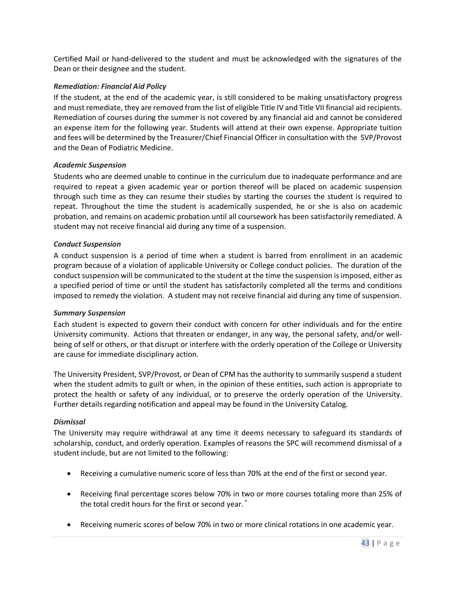Certified Mail or hand-delivered to the student and must be acknowledged with the signatures of the Dean or their designee and the student.

#### *Remediation: Financial Aid Policy*

If the student, at the end of the academic year, is still considered to be making unsatisfactory progress and must remediate, they are removed from the list of eligible Title IV and Title VII financial aid recipients. Remediation of courses during the summer is not covered by any financial aid and cannot be considered an expense item for the following year. Students will attend at their own expense. Appropriate tuition and fees will be determined by the Treasurer/Chief Financial Officer in consultation with the SVP/Provost and the Dean of Podiatric Medicine.

#### *Academic Suspension*

Students who are deemed unable to continue in the curriculum due to inadequate performance and are required to repeat a given academic year or portion thereof will be placed on academic suspension through such time as they can resume their studies by starting the courses the student is required to repeat. Throughout the time the student is academically suspended, he or she is also on academic probation, and remains on academic probation until all coursework has been satisfactorily remediated. A student may not receive financial aid during any time of a suspension.

#### *Conduct Suspension*

A conduct suspension is a period of time when a student is barred from enrollment in an academic program because of a violation of applicable University or College conduct policies. The duration of the conduct suspension will be communicated to the student at the time the suspension is imposed, either as a specified period of time or until the student has satisfactorily completed all the terms and conditions imposed to remedy the violation. A student may not receive financial aid during any time of suspension.

#### *Summary Suspension*

Each student is expected to govern their conduct with concern for other individuals and for the entire University community. Actions that threaten or endanger, in any way, the personal safety, and/or wellbeing of self or others, or that disrupt or interfere with the orderly operation of the College or University are cause for immediate disciplinary action.

The University President, SVP/Provost, or Dean of CPM has the authority to summarily suspend a student when the student admits to guilt or when, in the opinion of these entities, such action is appropriate to protect the health or safety of any individual, or to preserve the orderly operation of the University. Further details regarding notification and appeal may be found in the University Catalog.

#### *Dismissal*

The University may require withdrawal at any time it deems necessary to safeguard its standards of scholarship, conduct, and orderly operation. Examples of reasons the SPC will recommend dismissal of a student include, but are not limited to the following:

- Receiving a cumulative numeric score of less than 70% at the end of the first or second year.
- Receiving final percentage scores below 70% in two or more courses totaling more than 25% of the total credit hours for the first or second year. \*
- Receiving numeric scores of below 70% in two or more clinical rotations in one academic year.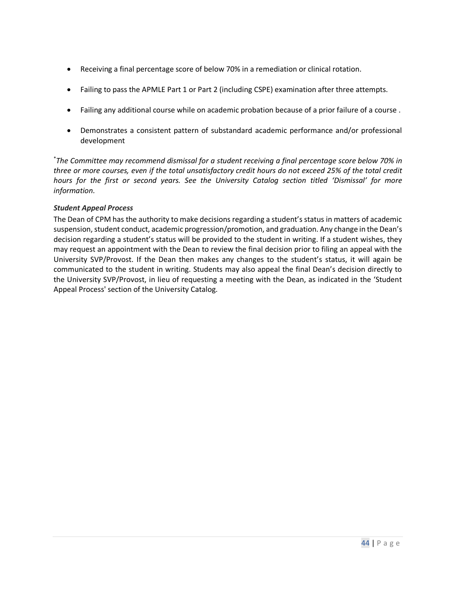- Receiving a final percentage score of below 70% in a remediation or clinical rotation.
- Failing to pass the APMLE Part 1 or Part 2 (including CSPE) examination after three attempts.
- Failing any additional course while on academic probation because of a prior failure of a course .
- Demonstrates a consistent pattern of substandard academic performance and/or professional development

\* *The Committee may recommend dismissal for a student receiving a final percentage score below 70% in three or more courses, even if the total unsatisfactory credit hours do not exceed 25% of the total credit hours for the first or second years. See the University Catalog section titled 'Dismissal' for more information.*

#### *Student Appeal Process*

The Dean of CPM has the authority to make decisions regarding a student's status in matters of academic suspension, student conduct, academic progression/promotion, and graduation. Any change in the Dean's decision regarding a student's status will be provided to the student in writing. If a student wishes, they may request an appointment with the Dean to review the final decision prior to filing an appeal with the University SVP/Provost. If the Dean then makes any changes to the student's status, it will again be communicated to the student in writing. Students may also appeal the final Dean's decision directly to the University SVP/Provost, in lieu of requesting a meeting with the Dean, as indicated in the 'Student Appeal Process' section of the University Catalog.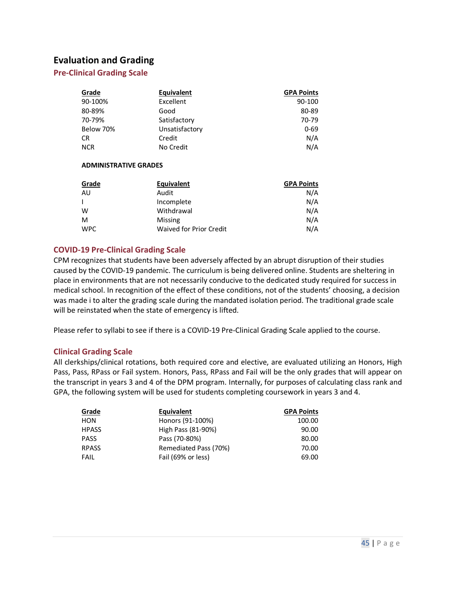## <span id="page-44-0"></span>**Evaluation and Grading**

#### <span id="page-44-1"></span>**Pre-Clinical Grading Scale**

| Grade      | <b>Equivalent</b> | <b>GPA Points</b> |
|------------|-------------------|-------------------|
| 90-100%    | <b>Excellent</b>  | 90-100            |
| 80-89%     | Good              | 80-89             |
| 70-79%     | Satisfactory      | 70-79             |
| Below 70%  | Unsatisfactory    | $0 - 69$          |
| <b>CR</b>  | Credit            | N/A               |
| <b>NCR</b> | No Credit         | N/A               |

#### **ADMINISTRATIVE GRADES**

| Grade      | Equivalent              | <b>GPA Points</b> |
|------------|-------------------------|-------------------|
| AU         | Audit                   | N/A               |
|            | Incomplete              | N/A               |
| W          | Withdrawal              | N/A               |
| M          | Missing                 | N/A               |
| <b>WPC</b> | Waived for Prior Credit | N/A               |

#### <span id="page-44-2"></span>**COVID-19 Pre-Clinical Grading Scale**

CPM recognizes that students have been adversely affected by an abrupt disruption of their studies caused by the COVID-19 pandemic. The curriculum is being delivered online. Students are sheltering in place in environments that are not necessarily conducive to the dedicated study required for success in medical school. In recognition of the effect of these conditions, not of the students' choosing, a decision was made i to alter the grading scale during the mandated isolation period. The traditional grade scale will be reinstated when the state of emergency is lifted.

Please refer to syllabi to see if there is a COVID-19 Pre-Clinical Grading Scale applied to the course.

#### <span id="page-44-3"></span>**Clinical Grading Scale**

All clerkships/clinical rotations, both required core and elective, are evaluated utilizing an Honors, High Pass, Pass, RPass or Fail system. Honors, Pass, RPass and Fail will be the only grades that will appear on the transcript in years 3 and 4 of the DPM program. Internally, for purposes of calculating class rank and GPA, the following system will be used for students completing coursework in years 3 and 4.

| Grade        | Equivalent            | <b>GPA Points</b> |
|--------------|-----------------------|-------------------|
| HON          | Honors (91-100%)      | 100.00            |
| <b>HPASS</b> | High Pass (81-90%)    | 90.00             |
| <b>PASS</b>  | Pass (70-80%)         | 80.00             |
| <b>RPASS</b> | Remediated Pass (70%) | 70.00             |
| FAIL         | Fail (69% or less)    | 69.00             |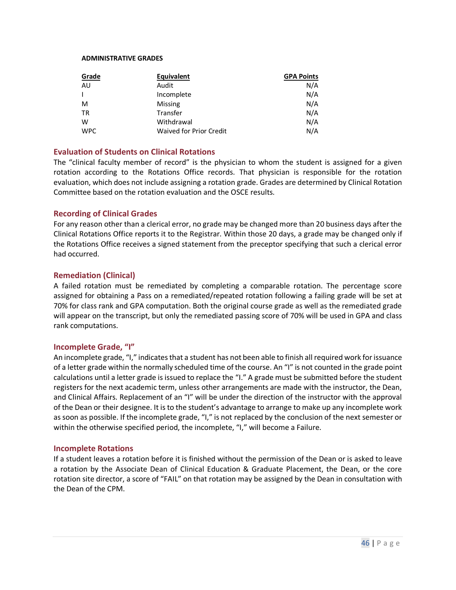#### **ADMINISTRATIVE GRADES**

| Grade      | Equivalent              | <b>GPA Points</b> |
|------------|-------------------------|-------------------|
| AU         | Audit                   | N/A               |
|            | Incomplete              | N/A               |
| M          | Missing                 | N/A               |
| <b>TR</b>  | Transfer                | N/A               |
| W          | Withdrawal              | N/A               |
| <b>WPC</b> | Waived for Prior Credit | N/A               |

#### <span id="page-45-0"></span>**Evaluation of Students on Clinical Rotations**

The "clinical faculty member of record" is the physician to whom the student is assigned for a given rotation according to the Rotations Office records. That physician is responsible for the rotation evaluation, which does not include assigning a rotation grade. Grades are determined by Clinical Rotation Committee based on the rotation evaluation and the OSCE results.

#### <span id="page-45-1"></span>**Recording of Clinical Grades**

For any reason other than a clerical error, no grade may be changed more than 20 business days after the Clinical Rotations Office reports it to the Registrar. Within those 20 days, a grade may be changed only if the Rotations Office receives a signed statement from the preceptor specifying that such a clerical error had occurred.

#### <span id="page-45-2"></span>**Remediation (Clinical)**

A failed rotation must be remediated by completing a comparable rotation. The percentage score assigned for obtaining a Pass on a remediated/repeated rotation following a failing grade will be set at 70% for class rank and GPA computation. Both the original course grade as well as the remediated grade will appear on the transcript, but only the remediated passing score of 70% will be used in GPA and class rank computations.

#### <span id="page-45-3"></span>**Incomplete Grade, "I"**

An incomplete grade, "I," indicates that a student has not been able to finish all required work for issuance of a letter grade within the normally scheduled time of the course. An "I" is not counted in the grade point calculations until a letter grade is issued to replace the "I." A grade must be submitted before the student registers for the next academic term, unless other arrangements are made with the instructor, the Dean, and Clinical Affairs. Replacement of an "I" will be under the direction of the instructor with the approval of the Dean or their designee. It is to the student's advantage to arrange to make up any incomplete work as soon as possible. If the incomplete grade, "I," is not replaced by the conclusion of the next semester or within the otherwise specified period, the incomplete, "I," will become a Failure.

#### <span id="page-45-4"></span>**Incomplete Rotations**

If a student leaves a rotation before it is finished without the permission of the Dean or is asked to leave a rotation by the Associate Dean of Clinical Education & Graduate Placement, the Dean, or the core rotation site director, a score of "FAIL" on that rotation may be assigned by the Dean in consultation with the Dean of the CPM.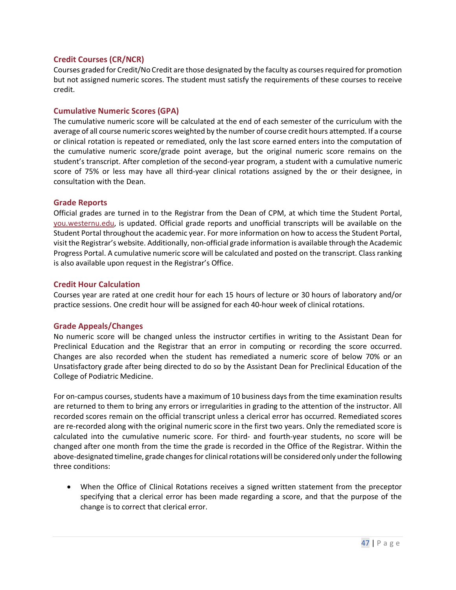#### <span id="page-46-0"></span>**Credit Courses (CR/NCR)**

Courses graded for Credit/No Credit are those designated by the faculty as courses required for promotion but not assigned numeric scores. The student must satisfy the requirements of these courses to receive credit.

#### <span id="page-46-1"></span>**Cumulative Numeric Scores (GPA)**

The cumulative numeric score will be calculated at the end of each semester of the curriculum with the average of all course numeric scores weighted by the number of course credit hours attempted. If a course or clinical rotation is repeated or remediated, only the last score earned enters into the computation of the cumulative numeric score/grade point average, but the original numeric score remains on the student's transcript. After completion of the second-year program, a student with a cumulative numeric score of 75% or less may have all third-year clinical rotations assigned by the or their designee, in consultation with the Dean.

#### <span id="page-46-2"></span>**Grade Reports**

Official grades are turned in to the Registrar from the Dean of CPM, at which time the Student Portal, [you.westernu.edu,](https://you.westernu.edu/) is updated. Official grade reports and unofficial transcripts will be available on the Student Portal throughout the academic year. For more information on how to access the Student Portal, visit the Registrar's website. Additionally, non-official grade information is available through the Academic Progress Portal. A cumulative numeric score will be calculated and posted on the transcript. Class ranking is also available upon request in the Registrar's Office.

#### <span id="page-46-3"></span>**Credit Hour Calculation**

Courses year are rated at one credit hour for each 15 hours of lecture or 30 hours of laboratory and/or practice sessions. One credit hour will be assigned for each 40-hour week of clinical rotations.

#### <span id="page-46-4"></span>**Grade Appeals/Changes**

No numeric score will be changed unless the instructor certifies in writing to the Assistant Dean for Preclinical Education and the Registrar that an error in computing or recording the score occurred. Changes are also recorded when the student has remediated a numeric score of below 70% or an Unsatisfactory grade after being directed to do so by the Assistant Dean for Preclinical Education of the College of Podiatric Medicine.

For on-campus courses, students have a maximum of 10 business days from the time examination results are returned to them to bring any errors or irregularities in grading to the attention of the instructor. All recorded scores remain on the official transcript unless a clerical error has occurred. Remediated scores are re-recorded along with the original numeric score in the first two years. Only the remediated score is calculated into the cumulative numeric score. For third- and fourth-year students, no score will be changed after one month from the time the grade is recorded in the Office of the Registrar. Within the above-designated timeline, grade changes for clinical rotations will be considered only under the following three conditions:

• When the Office of Clinical Rotations receives a signed written statement from the preceptor specifying that a clerical error has been made regarding a score, and that the purpose of the change is to correct that clerical error.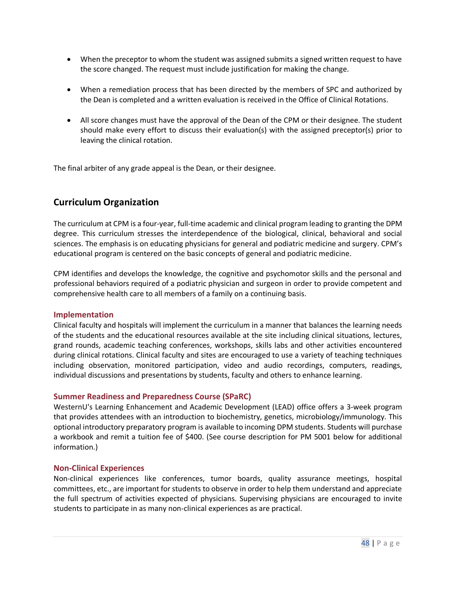- When the preceptor to whom the student was assigned submits a signed written request to have the score changed. The request must include justification for making the change.
- When a remediation process that has been directed by the members of SPC and authorized by the Dean is completed and a written evaluation is received in the Office of Clinical Rotations.
- All score changes must have the approval of the Dean of the CPM or their designee. The student should make every effort to discuss their evaluation(s) with the assigned preceptor(s) prior to leaving the clinical rotation.

The final arbiter of any grade appeal is the Dean, or their designee.

## <span id="page-47-0"></span>**Curriculum Organization**

The curriculum at CPM is a four-year, full-time academic and clinical program leading to granting the DPM degree. This curriculum stresses the interdependence of the biological, clinical, behavioral and social sciences. The emphasis is on educating physicians for general and podiatric medicine and surgery. CPM's educational program is centered on the basic concepts of general and podiatric medicine.

CPM identifies and develops the knowledge, the cognitive and psychomotor skills and the personal and professional behaviors required of a podiatric physician and surgeon in order to provide competent and comprehensive health care to all members of a family on a continuing basis.

#### <span id="page-47-1"></span>**Implementation**

Clinical faculty and hospitals will implement the curriculum in a manner that balances the learning needs of the students and the educational resources available at the site including clinical situations, lectures, grand rounds, academic teaching conferences, workshops, skills labs and other activities encountered during clinical rotations. Clinical faculty and sites are encouraged to use a variety of teaching techniques including observation, monitored participation, video and audio recordings, computers, readings, individual discussions and presentations by students, faculty and others to enhance learning.

#### <span id="page-47-2"></span>**Summer Readiness and Preparedness Course (SPaRC)**

WesternU's Learning Enhancement and Academic Development (LEAD) office offers a 3-week program that provides attendees with an introduction to biochemistry, genetics, microbiology/immunology. This optional introductory preparatory program is available to incoming DPM students. Students will purchase a workbook and remit a tuition fee of \$400. (See course description for PM 5001 below for additional information.)

#### <span id="page-47-3"></span>**Non-Clinical Experiences**

Non-clinical experiences like conferences, tumor boards, quality assurance meetings, hospital committees, etc., are important for students to observe in order to help them understand and appreciate the full spectrum of activities expected of physicians. Supervising physicians are encouraged to invite students to participate in as many non-clinical experiences as are practical.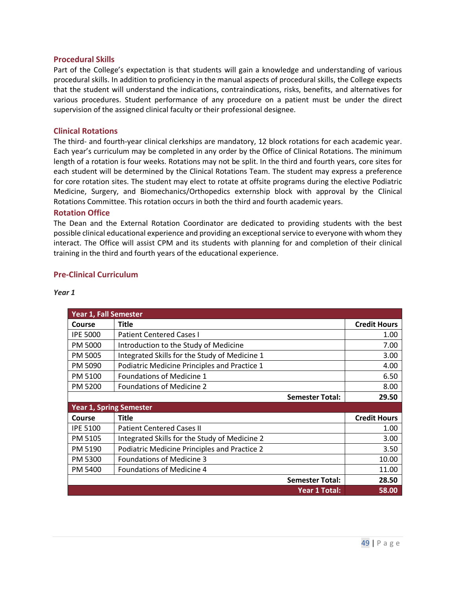#### <span id="page-48-0"></span>**Procedural Skills**

Part of the College's expectation is that students will gain a knowledge and understanding of various procedural skills. In addition to proficiency in the manual aspects of procedural skills, the College expects that the student will understand the indications, contraindications, risks, benefits, and alternatives for various procedures. Student performance of any procedure on a patient must be under the direct supervision of the assigned clinical faculty or their professional designee.

#### <span id="page-48-1"></span>**Clinical Rotations**

The third- and fourth-year clinical clerkships are mandatory, 12 block rotations for each academic year. Each year's curriculum may be completed in any order by the Office of Clinical Rotations. The minimum length of a rotation is four weeks. Rotations may not be split. In the third and fourth years, core sites for each student will be determined by the Clinical Rotations Team. The student may express a preference for core rotation sites. The student may elect to rotate at offsite programs during the elective Podiatric Medicine, Surgery, and Biomechanics/Orthopedics externship block with approval by the Clinical Rotations Committee. This rotation occurs in both the third and fourth academic years.

#### <span id="page-48-2"></span>**Rotation Office**

The Dean and the External Rotation Coordinator are dedicated to providing students with the best possible clinical educational experience and providing an exceptional service to everyone with whom they interact. The Office will assist CPM and its students with planning for and completion of their clinical training in the third and fourth years of the educational experience.

#### <span id="page-48-3"></span>**Pre-Clinical Curriculum**

| <b>Year 1, Fall Semester</b> |                                               |                     |  |
|------------------------------|-----------------------------------------------|---------------------|--|
| Course                       | <b>Title</b>                                  | <b>Credit Hours</b> |  |
| <b>IPE 5000</b>              | <b>Patient Centered Cases I</b>               | 1.00                |  |
| PM 5000                      | Introduction to the Study of Medicine         | 7.00                |  |
| PM 5005                      | Integrated Skills for the Study of Medicine 1 | 3.00                |  |
| PM 5090                      | Podiatric Medicine Principles and Practice 1  | 4.00                |  |
| PM 5100                      | <b>Foundations of Medicine 1</b>              | 6.50                |  |
| <b>PM 5200</b>               | <b>Foundations of Medicine 2</b>              | 8.00                |  |
|                              | <b>Semester Total:</b>                        | 29.50               |  |
|                              | <b>Year 1, Spring Semester</b>                |                     |  |
| Course                       | <b>Title</b>                                  | <b>Credit Hours</b> |  |
| <b>IPE 5100</b>              | <b>Patient Centered Cases II</b>              | 1.00                |  |
| PM 5105                      | Integrated Skills for the Study of Medicine 2 | 3.00                |  |
| PM 5190                      | Podiatric Medicine Principles and Practice 2  | 3.50                |  |
| PM 5300                      | <b>Foundations of Medicine 3</b>              | 10.00               |  |
| PM 5400                      | <b>Foundations of Medicine 4</b>              | 11.00               |  |
|                              | <b>Semester Total:</b>                        | 28.50               |  |
|                              | Year 1 Total:                                 | 58.00               |  |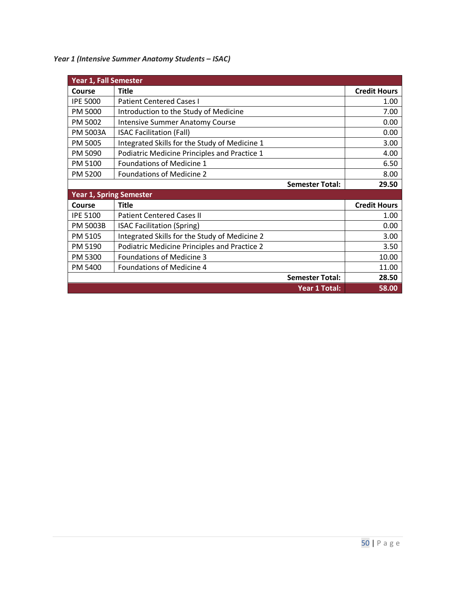*Year 1 (Intensive Summer Anatomy Students – ISAC)*

| <b>Year 1, Fall Semester</b>   |                                                     |                     |
|--------------------------------|-----------------------------------------------------|---------------------|
| Course                         | <b>Title</b>                                        | <b>Credit Hours</b> |
| <b>IPE 5000</b>                | <b>Patient Centered Cases I</b>                     | 1.00                |
| PM 5000                        | Introduction to the Study of Medicine               | 7.00                |
| PM 5002                        | <b>Intensive Summer Anatomy Course</b>              | 0.00                |
| PM 5003A                       | <b>ISAC Facilitation (Fall)</b>                     | 0.00                |
| PM 5005                        | Integrated Skills for the Study of Medicine 1       | 3.00                |
| PM 5090                        | Podiatric Medicine Principles and Practice 1        | 4.00                |
| PM 5100                        | Foundations of Medicine 1                           | 6.50                |
| PM 5200                        | <b>Foundations of Medicine 2</b>                    | 8.00                |
|                                | <b>Semester Total:</b>                              | 29.50               |
| <b>Year 1, Spring Semester</b> |                                                     |                     |
| Course                         | <b>Title</b>                                        | <b>Credit Hours</b> |
| <b>IPE 5100</b>                | <b>Patient Centered Cases II</b>                    | 1.00                |
| <b>PM 5003B</b>                | <b>ISAC Facilitation (Spring)</b>                   | 0.00                |
| PM 5105                        | Integrated Skills for the Study of Medicine 2       | 3.00                |
| PM 5190                        | <b>Podiatric Medicine Principles and Practice 2</b> | 3.50                |
| PM 5300                        | <b>Foundations of Medicine 3</b>                    | 10.00               |
| PM 5400                        | <b>Foundations of Medicine 4</b>                    | 11.00               |
|                                | <b>Semester Total:</b>                              | 28.50               |
|                                | <b>Year 1 Total:</b>                                | 58.00               |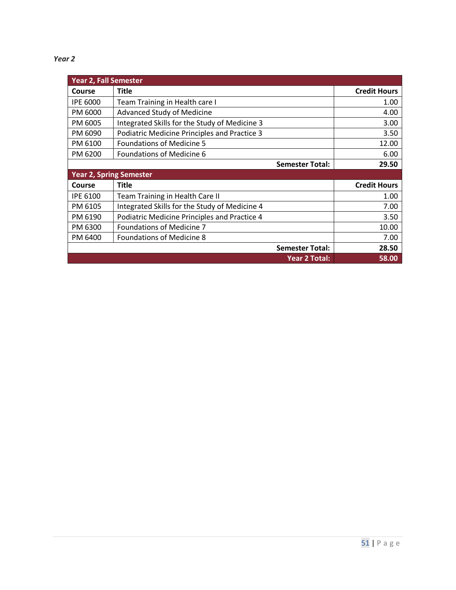| <b>Year 2, Fall Semester</b>   |                                               |                     |
|--------------------------------|-----------------------------------------------|---------------------|
| Course                         | <b>Title</b>                                  | <b>Credit Hours</b> |
| <b>IPE 6000</b>                | Team Training in Health care I                | 1.00                |
| PM 6000                        | <b>Advanced Study of Medicine</b>             | 4.00                |
| PM 6005                        | Integrated Skills for the Study of Medicine 3 | 3.00                |
| PM 6090                        | Podiatric Medicine Principles and Practice 3  | 3.50                |
| PM 6100                        | <b>Foundations of Medicine 5</b>              | 12.00               |
| PM 6200                        | <b>Foundations of Medicine 6</b>              | 6.00                |
|                                | <b>Semester Total:</b>                        | 29.50               |
| <b>Year 2, Spring Semester</b> |                                               |                     |
| Course                         | <b>Title</b>                                  | <b>Credit Hours</b> |
| <b>IPE 6100</b>                | Team Training in Health Care II               | 1.00                |
| PM 6105                        | Integrated Skills for the Study of Medicine 4 | 7.00                |
| PM 6190                        | Podiatric Medicine Principles and Practice 4  | 3.50                |
| PM 6300                        | <b>Foundations of Medicine 7</b>              | 10.00               |
| PM 6400                        | <b>Foundations of Medicine 8</b>              | 7.00                |
|                                | <b>Semester Total:</b>                        | 28.50               |
|                                | <b>Year 2 Total:</b>                          | 58.00               |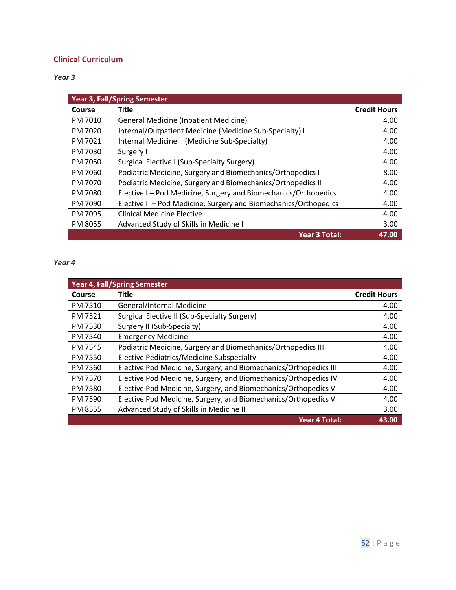## <span id="page-51-0"></span>**Clinical Curriculum**

*Year 3*

| <b>Year 3, Fall/Spring Semester</b> |                                                                  |                     |
|-------------------------------------|------------------------------------------------------------------|---------------------|
| Course                              | <b>Title</b>                                                     | <b>Credit Hours</b> |
| PM 7010                             | <b>General Medicine (Inpatient Medicine)</b>                     | 4.00                |
| PM 7020                             | Internal/Outpatient Medicine (Medicine Sub-Specialty) I          | 4.00                |
| PM 7021                             | Internal Medicine II (Medicine Sub-Specialty)                    | 4.00                |
| PM 7030                             | Surgery I                                                        | 4.00                |
| PM 7050                             | Surgical Elective I (Sub-Specialty Surgery)                      | 4.00                |
| PM 7060                             | Podiatric Medicine, Surgery and Biomechanics/Orthopedics I       | 8.00                |
| PM 7070                             | Podiatric Medicine, Surgery and Biomechanics/Orthopedics II      | 4.00                |
| PM 7080                             | Elective I - Pod Medicine, Surgery and Biomechanics/Orthopedics  | 4.00                |
| PM 7090                             | Elective II - Pod Medicine, Surgery and Biomechanics/Orthopedics | 4.00                |
| PM 7095                             | <b>Clinical Medicine Elective</b>                                | 4.00                |
| PM 8055                             | Advanced Study of Skills in Medicine I                           | 3.00                |
|                                     | <b>Year 3 Total:</b>                                             | 47.00               |

| <b>Year 4, Fall/Spring Semester</b> |                                                                  |                     |
|-------------------------------------|------------------------------------------------------------------|---------------------|
| Course                              | <b>Title</b>                                                     | <b>Credit Hours</b> |
| PM 7510                             | General/Internal Medicine                                        | 4.00                |
| PM 7521                             | Surgical Elective II (Sub-Specialty Surgery)                     | 4.00                |
| PM 7530                             | Surgery II (Sub-Specialty)                                       | 4.00                |
| PM 7540                             | <b>Emergency Medicine</b>                                        | 4.00                |
| PM 7545                             | Podiatric Medicine, Surgery and Biomechanics/Orthopedics III     | 4.00                |
| PM 7550                             | Elective Pediatrics/Medicine Subspecialty                        | 4.00                |
| PM 7560                             | Elective Pod Medicine, Surgery, and Biomechanics/Orthopedics III | 4.00                |
| PM 7570                             | Elective Pod Medicine, Surgery, and Biomechanics/Orthopedics IV  | 4.00                |
| PM 7580                             | Elective Pod Medicine, Surgery, and Biomechanics/Orthopedics V   | 4.00                |
| PM 7590                             | Elective Pod Medicine, Surgery, and Biomechanics/Orthopedics VI  | 4.00                |
| PM 8555                             | Advanced Study of Skills in Medicine II                          | 3.00                |
|                                     | Year 4 Total:                                                    | 43.00               |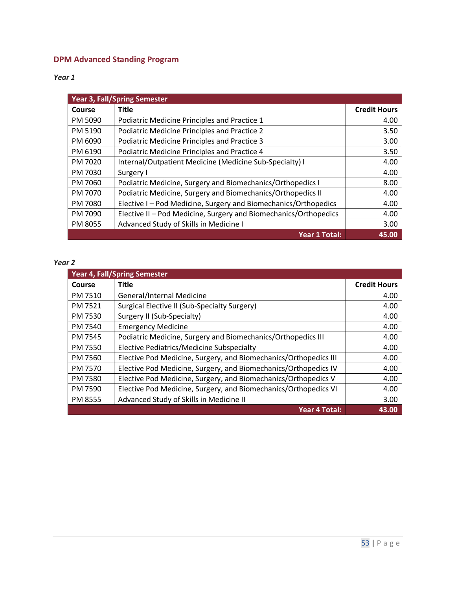## <span id="page-52-0"></span>**DPM Advanced Standing Program**

*Year 1*

| Year 3, Fall/Spring Semester |                                                                  |                     |
|------------------------------|------------------------------------------------------------------|---------------------|
| Course                       | <b>Title</b>                                                     | <b>Credit Hours</b> |
| PM 5090                      | Podiatric Medicine Principles and Practice 1                     | 4.00                |
| PM 5190                      | Podiatric Medicine Principles and Practice 2                     | 3.50                |
| PM 6090                      | <b>Podiatric Medicine Principles and Practice 3</b>              | 3.00                |
| PM 6190                      | Podiatric Medicine Principles and Practice 4                     | 3.50                |
| PM 7020                      | Internal/Outpatient Medicine (Medicine Sub-Specialty) I          | 4.00                |
| PM 7030                      | Surgery I                                                        | 4.00                |
| PM 7060                      | Podiatric Medicine, Surgery and Biomechanics/Orthopedics I       | 8.00                |
| PM 7070                      | Podiatric Medicine, Surgery and Biomechanics/Orthopedics II      | 4.00                |
| PM 7080                      | Elective I - Pod Medicine, Surgery and Biomechanics/Orthopedics  | 4.00                |
| PM 7090                      | Elective II - Pod Medicine, Surgery and Biomechanics/Orthopedics | 4.00                |
| PM 8055                      | Advanced Study of Skills in Medicine I                           | 3.00                |
|                              | <b>Year 1 Total:</b>                                             | 45.00               |

| <b>Year 4, Fall/Spring Semester</b> |                                                                  |                     |
|-------------------------------------|------------------------------------------------------------------|---------------------|
| <b>Course</b>                       | <b>Title</b>                                                     | <b>Credit Hours</b> |
| PM 7510                             | General/Internal Medicine                                        | 4.00                |
| PM 7521                             | Surgical Elective II (Sub-Specialty Surgery)                     | 4.00                |
| PM 7530                             | Surgery II (Sub-Specialty)                                       | 4.00                |
| PM 7540                             | <b>Emergency Medicine</b>                                        | 4.00                |
| PM 7545                             | Podiatric Medicine, Surgery and Biomechanics/Orthopedics III     | 4.00                |
| PM 7550                             | Elective Pediatrics/Medicine Subspecialty                        | 4.00                |
| PM 7560                             | Elective Pod Medicine, Surgery, and Biomechanics/Orthopedics III | 4.00                |
| PM 7570                             | Elective Pod Medicine, Surgery, and Biomechanics/Orthopedics IV  | 4.00                |
| PM 7580                             | Elective Pod Medicine, Surgery, and Biomechanics/Orthopedics V   | 4.00                |
| PM 7590                             | Elective Pod Medicine, Surgery, and Biomechanics/Orthopedics VI  | 4.00                |
| PM 8555                             | Advanced Study of Skills in Medicine II                          | 3.00                |
|                                     | Year 4 Total:                                                    | 43.00               |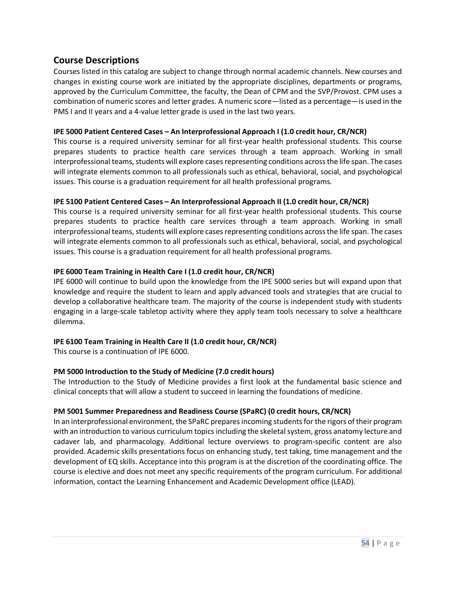## <span id="page-53-0"></span>**Course Descriptions**

Courses listed in this catalog are subject to change through normal academic channels. New courses and changes in existing course work are initiated by the appropriate disciplines, departments or programs, approved by the Curriculum Committee, the faculty, the Dean of CPM and the SVP/Provost. CPM uses a combination of numeric scores and letter grades. A numeric score—listed as a percentage—is used in the PMS I and II years and a 4-value letter grade is used in the last two years.

#### **IPE 5000 Patient Centered Cases – An Interprofessional Approach I (1.0 credit hour, CR/NCR)**

This course is a required university seminar for all first-year health professional students. This course prepares students to practice health care services through a team approach. Working in small interprofessional teams, students will explore cases representing conditions across the life span. The cases will integrate elements common to all professionals such as ethical, behavioral, social, and psychological issues. This course is a graduation requirement for all health professional programs.

#### **IPE 5100 Patient Centered Cases – An Interprofessional Approach II (1.0 credit hour, CR/NCR)**

This course is a required university seminar for all first-year health professional students. This course prepares students to practice health care services through a team approach. Working in small interprofessional teams, students will explore cases representing conditions across the life span. The cases will integrate elements common to all professionals such as ethical, behavioral, social, and psychological issues. This course is a graduation requirement for all health professional programs.

#### **IPE 6000 Team Training in Health Care I (1.0 credit hour, CR/NCR)**

IPE 6000 will continue to build upon the knowledge from the IPE 5000 series but will expand upon that knowledge and require the student to learn and apply advanced tools and strategies that are crucial to develop a collaborative healthcare team. The majority of the course is independent study with students engaging in a large-scale tabletop activity where they apply team tools necessary to solve a healthcare dilemma.

#### **IPE 6100 Team Training in Health Care II (1.0 credit hour, CR/NCR)**

This course is a continuation of IPE 6000.

#### **PM 5000 Introduction to the Study of Medicine (7.0 credit hours)**

The Introduction to the Study of Medicine provides a first look at the fundamental basic science and clinical concepts that will allow a student to succeed in learning the foundations of medicine.

#### **PM 5001 Summer Preparedness and Readiness Course (SPaRC) (0 credit hours, CR/NCR)**

In an interprofessional environment, the SPaRC prepares incoming students for the rigors of their program with an introduction to various curriculum topics including the skeletal system, gross anatomy lecture and cadaver lab, and pharmacology. Additional lecture overviews to program-specific content are also provided. Academic skills presentations focus on enhancing study, test taking, time management and the development of EQ skills. Acceptance into this program is at the discretion of the coordinating office. The course is elective and does not meet any specific requirements of the program curriculum. For additional information, contact the Learning Enhancement and Academic Development office (LEAD).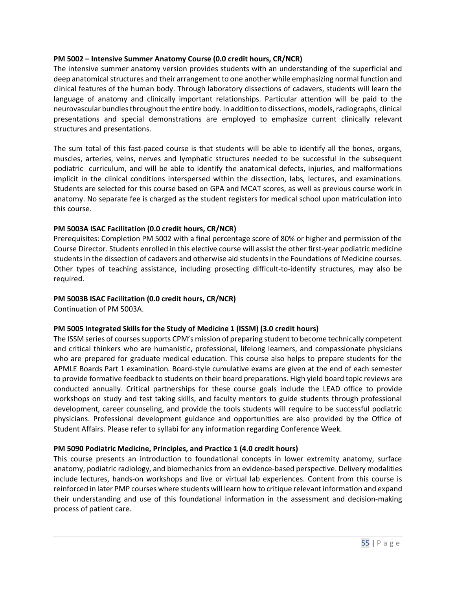#### **PM 5002 – Intensive Summer Anatomy Course (0.0 credit hours, CR/NCR)**

The intensive summer anatomy version provides students with an understanding of the superficial and deep anatomical structures and their arrangement to one another while emphasizing normal function and clinical features of the human body. Through laboratory dissections of cadavers, students will learn the language of anatomy and clinically important relationships. Particular attention will be paid to the neurovascular bundles throughout the entire body. In addition to dissections, models, radiographs, clinical presentations and special demonstrations are employed to emphasize current clinically relevant structures and presentations.

The sum total of this fast-paced course is that students will be able to identify all the bones, organs, muscles, arteries, veins, nerves and lymphatic structures needed to be successful in the subsequent podiatric curriculum, and will be able to identify the anatomical defects, injuries, and malformations implicit in the clinical conditions interspersed within the dissection, labs, lectures, and examinations. Students are selected for this course based on GPA and MCAT scores, as well as previous course work in anatomy. No separate fee is charged as the student registers for medical school upon matriculation into this course.

#### **PM 5003A ISAC Facilitation (0.0 credit hours, CR/NCR)**

Prerequisites: Completion PM 5002 with a final percentage score of 80% or higher and permission of the Course Director. Students enrolled in this elective course will assist the other first-year podiatric medicine students in the dissection of cadavers and otherwise aid students in the Foundations of Medicine courses. Other types of teaching assistance, including prosecting difficult-to-identify structures, may also be required.

#### **PM 5003B ISAC Facilitation (0.0 credit hours, CR/NCR)**

Continuation of PM 5003A.

#### **PM 5005 Integrated Skills for the Study of Medicine 1 (ISSM) (3.0 credit hours)**

The ISSM series of courses supports CPM's mission of preparing student to become technically competent and critical thinkers who are humanistic, professional, lifelong learners, and compassionate physicians who are prepared for graduate medical education. This course also helps to prepare students for the APMLE Boards Part 1 examination. Board-style cumulative exams are given at the end of each semester to provide formative feedback to students on their board preparations. High yield board topic reviews are conducted annually. Critical partnerships for these course goals include the LEAD office to provide workshops on study and test taking skills, and faculty mentors to guide students through professional development, career counseling, and provide the tools students will require to be successful podiatric physicians. Professional development guidance and opportunities are also provided by the Office of Student Affairs. Please refer to syllabi for any information regarding Conference Week.

#### **PM 5090 Podiatric Medicine, Principles, and Practice 1 (4.0 credit hours)**

This course presents an introduction to foundational concepts in lower extremity anatomy, surface anatomy, podiatric radiology, and biomechanics from an evidence-based perspective. Delivery modalities include lectures, hands-on workshops and live or virtual lab experiences. Content from this course is reinforced in later PMP courses where students will learn how to critique relevant information and expand their understanding and use of this foundational information in the assessment and decision-making process of patient care.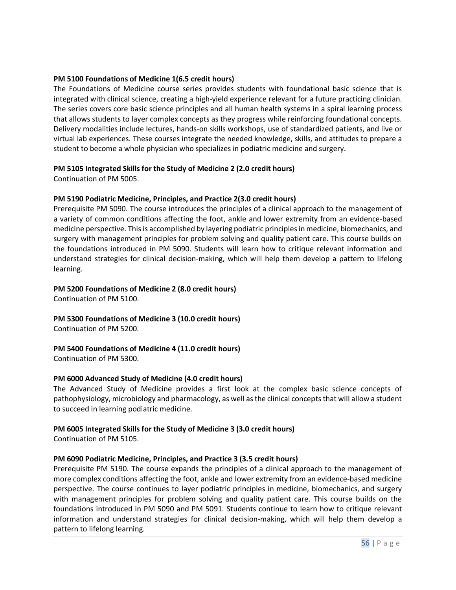#### **PM 5100 Foundations of Medicine 1(6.5 credit hours)**

The Foundations of Medicine course series provides students with foundational basic science that is integrated with clinical science, creating a high-yield experience relevant for a future practicing clinician. The series covers core basic science principles and all human health systems in a spiral learning process that allows students to layer complex concepts as they progress while reinforcing foundational concepts. Delivery modalities include lectures, hands-on skills workshops, use of standardized patients, and live or virtual lab experiences. These courses integrate the needed knowledge, skills, and attitudes to prepare a student to become a whole physician who specializes in podiatric medicine and surgery.

#### **PM 5105 Integrated Skills for the Study of Medicine 2 (2.0 credit hours)**

Continuation of PM 5005.

#### **PM 5190 Podiatric Medicine, Principles, and Practice 2(3.0 credit hours)**

Prerequisite PM 5090. The course introduces the principles of a clinical approach to the management of a variety of common conditions affecting the foot, ankle and lower extremity from an evidence-based medicine perspective. This is accomplished by layering podiatric principles in medicine, biomechanics, and surgery with management principles for problem solving and quality patient care. This course builds on the foundations introduced in PM 5090. Students will learn how to critique relevant information and understand strategies for clinical decision-making, which will help them develop a pattern to lifelong learning.

#### **PM 5200 Foundations of Medicine 2 (8.0 credit hours)**

Continuation of PM 5100.

#### **PM 5300 Foundations of Medicine 3 (10.0 credit hours)** Continuation of PM 5200.

#### **PM 5400 Foundations of Medicine 4 (11.0 credit hours)**

Continuation of PM 5300.

#### **PM 6000 Advanced Study of Medicine (4.0 credit hours)**

The Advanced Study of Medicine provides a first look at the complex basic science concepts of pathophysiology, microbiology and pharmacology, as well as the clinical concepts that will allow a student to succeed in learning podiatric medicine.

#### **PM 6005 Integrated Skills for the Study of Medicine 3 (3.0 credit hours)**

Continuation of PM 5105.

#### **PM 6090 Podiatric Medicine, Principles, and Practice 3 (3.5 credit hours)**

Prerequisite PM 5190. The course expands the principles of a clinical approach to the management of more complex conditions affecting the foot, ankle and lower extremity from an evidence-based medicine perspective. The course continues to layer podiatric principles in medicine, biomechanics, and surgery with management principles for problem solving and quality patient care. This course builds on the foundations introduced in PM 5090 and PM 5091. Students continue to learn how to critique relevant information and understand strategies for clinical decision-making, which will help them develop a pattern to lifelong learning.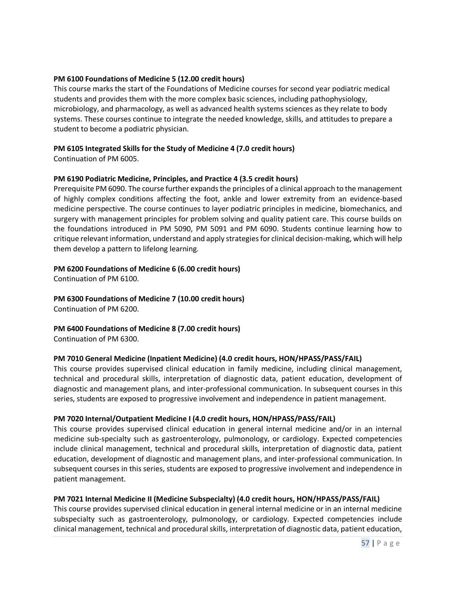#### **PM 6100 Foundations of Medicine 5 (12.00 credit hours)**

This course marks the start of the Foundations of Medicine courses for second year podiatric medical students and provides them with the more complex basic sciences, including pathophysiology, microbiology, and pharmacology, as well as advanced health systems sciences as they relate to body systems. These courses continue to integrate the needed knowledge, skills, and attitudes to prepare a student to become a podiatric physician.

#### **PM 6105 Integrated Skills for the Study of Medicine 4 (7.0 credit hours)**

Continuation of PM 6005.

#### **PM 6190 Podiatric Medicine, Principles, and Practice 4 (3.5 credit hours)**

Prerequisite PM 6090. The course further expands the principles of a clinical approach to the management of highly complex conditions affecting the foot, ankle and lower extremity from an evidence-based medicine perspective. The course continues to layer podiatric principles in medicine, biomechanics, and surgery with management principles for problem solving and quality patient care. This course builds on the foundations introduced in PM 5090, PM 5091 and PM 6090. Students continue learning how to critique relevant information, understand and apply strategies for clinical decision-making, which will help them develop a pattern to lifelong learning.

#### **PM 6200 Foundations of Medicine 6 (6.00 credit hours)**

Continuation of PM 6100.

**PM 6300 Foundations of Medicine 7 (10.00 credit hours)** Continuation of PM 6200.

**PM 6400 Foundations of Medicine 8 (7.00 credit hours)** Continuation of PM 6300.

#### **PM 7010 General Medicine (Inpatient Medicine) (4.0 credit hours, HON/HPASS/PASS/FAIL)**

This course provides supervised clinical education in family medicine, including clinical management, technical and procedural skills, interpretation of diagnostic data, patient education, development of diagnostic and management plans, and inter-professional communication. In subsequent courses in this series, students are exposed to progressive involvement and independence in patient management.

#### **PM 7020 Internal/Outpatient Medicine I (4.0 credit hours, HON/HPASS/PASS/FAIL)**

This course provides supervised clinical education in general internal medicine and/or in an internal medicine sub-specialty such as gastroenterology, pulmonology, or cardiology. Expected competencies include clinical management, technical and procedural skills, interpretation of diagnostic data, patient education, development of diagnostic and management plans, and inter-professional communication. In subsequent courses in this series, students are exposed to progressive involvement and independence in patient management.

#### **PM 7021 Internal Medicine II (Medicine Subspecialty) (4.0 credit hours, HON/HPASS/PASS/FAIL)**

This course provides supervised clinical education in general internal medicine or in an internal medicine subspecialty such as gastroenterology, pulmonology, or cardiology. Expected competencies include clinical management, technical and procedural skills, interpretation of diagnostic data, patient education,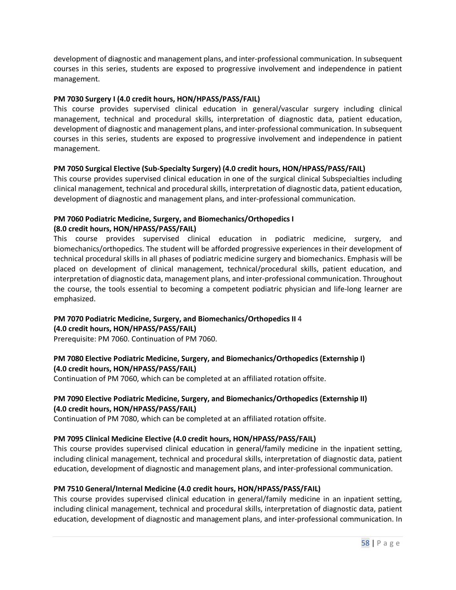development of diagnostic and management plans, and inter-professional communication. In subsequent courses in this series, students are exposed to progressive involvement and independence in patient management.

#### **PM 7030 Surgery I (4.0 credit hours, HON/HPASS/PASS/FAIL)**

This course provides supervised clinical education in general/vascular surgery including clinical management, technical and procedural skills, interpretation of diagnostic data, patient education, development of diagnostic and management plans, and inter-professional communication. In subsequent courses in this series, students are exposed to progressive involvement and independence in patient management.

#### **PM 7050 Surgical Elective (Sub-Specialty Surgery) (4.0 credit hours, HON/HPASS/PASS/FAIL)**

This course provides supervised clinical education in one of the surgical clinical Subspecialties including clinical management, technical and procedural skills, interpretation of diagnostic data, patient education, development of diagnostic and management plans, and inter-professional communication.

## **PM 7060 Podiatric Medicine, Surgery, and Biomechanics/Orthopedics I**

#### **(8.0 credit hours, HON/HPASS/PASS/FAIL)**

This course provides supervised clinical education in podiatric medicine, surgery, and biomechanics/orthopedics. The student will be afforded progressive experiences in their development of technical procedural skills in all phases of podiatric medicine surgery and biomechanics. Emphasis will be placed on development of clinical management, technical/procedural skills, patient education, and interpretation of diagnostic data, management plans, and inter-professional communication. Throughout the course, the tools essential to becoming a competent podiatric physician and life-long learner are emphasized.

#### **PM 7070 Podiatric Medicine, Surgery, and Biomechanics/Orthopedics II** 4 **(4.0 credit hours, HON/HPASS/PASS/FAIL)**

Prerequisite: PM 7060. Continuation of PM 7060.

#### **PM 7080 Elective Podiatric Medicine, Surgery, and Biomechanics/Orthopedics (Externship I) (4.0 credit hours, HON/HPASS/PASS/FAIL)**

Continuation of PM 7060, which can be completed at an affiliated rotation offsite.

#### **PM 7090 Elective Podiatric Medicine, Surgery, and Biomechanics/Orthopedics (Externship II) (4.0 credit hours, HON/HPASS/PASS/FAIL)**

Continuation of PM 7080, which can be completed at an affiliated rotation offsite.

#### **PM 7095 Clinical Medicine Elective (4.0 credit hours, HON/HPASS/PASS/FAIL)**

This course provides supervised clinical education in general/family medicine in the inpatient setting, including clinical management, technical and procedural skills, interpretation of diagnostic data, patient education, development of diagnostic and management plans, and inter-professional communication.

#### **PM 7510 General/Internal Medicine (4.0 credit hours, HON/HPASS/PASS/FAIL)**

This course provides supervised clinical education in general/family medicine in an inpatient setting, including clinical management, technical and procedural skills, interpretation of diagnostic data, patient education, development of diagnostic and management plans, and inter-professional communication. In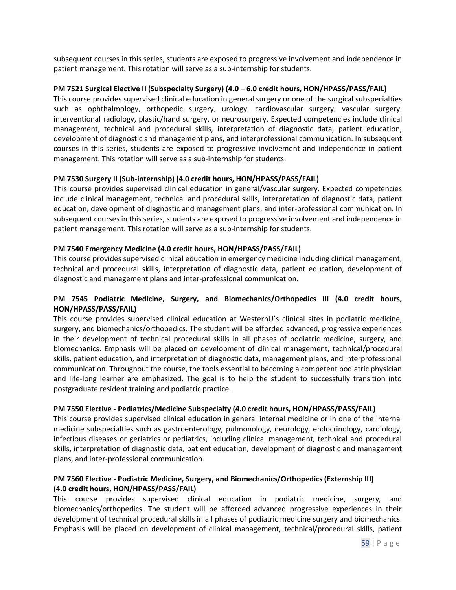subsequent courses in this series, students are exposed to progressive involvement and independence in patient management. This rotation will serve as a sub-internship for students.

#### **PM 7521 Surgical Elective II (Subspecialty Surgery) (4.0 – 6.0 credit hours, HON/HPASS/PASS/FAIL)**

This course provides supervised clinical education in general surgery or one of the surgical subspecialties such as ophthalmology, orthopedic surgery, urology, cardiovascular surgery, vascular surgery, interventional radiology, plastic/hand surgery, or neurosurgery. Expected competencies include clinical management, technical and procedural skills, interpretation of diagnostic data, patient education, development of diagnostic and management plans, and interprofessional communication. In subsequent courses in this series, students are exposed to progressive involvement and independence in patient management. This rotation will serve as a sub-internship for students.

#### **PM 7530 Surgery II (Sub-internship) (4.0 credit hours, HON/HPASS/PASS/FAIL)**

This course provides supervised clinical education in general/vascular surgery. Expected competencies include clinical management, technical and procedural skills, interpretation of diagnostic data, patient education, development of diagnostic and management plans, and inter-professional communication. In subsequent courses in this series, students are exposed to progressive involvement and independence in patient management. This rotation will serve as a sub-internship for students.

#### **PM 7540 Emergency Medicine (4.0 credit hours, HON/HPASS/PASS/FAIL)**

This course provides supervised clinical education in emergency medicine including clinical management, technical and procedural skills, interpretation of diagnostic data, patient education, development of diagnostic and management plans and inter-professional communication.

#### **PM 7545 Podiatric Medicine, Surgery, and Biomechanics/Orthopedics III (4.0 credit hours, HON/HPASS/PASS/FAIL)**

This course provides supervised clinical education at WesternU's clinical sites in podiatric medicine, surgery, and biomechanics/orthopedics. The student will be afforded advanced, progressive experiences in their development of technical procedural skills in all phases of podiatric medicine, surgery, and biomechanics. Emphasis will be placed on development of clinical management, technical/procedural skills, patient education, and interpretation of diagnostic data, management plans, and interprofessional communication. Throughout the course, the tools essential to becoming a competent podiatric physician and life-long learner are emphasized. The goal is to help the student to successfully transition into postgraduate resident training and podiatric practice.

#### **PM 7550 Elective - Pediatrics/Medicine Subspecialty (4.0 credit hours, HON/HPASS/PASS/FAIL)**

This course provides supervised clinical education in general internal medicine or in one of the internal medicine subspecialties such as gastroenterology, pulmonology, neurology, endocrinology, cardiology, infectious diseases or geriatrics or pediatrics, including clinical management, technical and procedural skills, interpretation of diagnostic data, patient education, development of diagnostic and management plans, and inter-professional communication.

#### **PM 7560 Elective - Podiatric Medicine, Surgery, and Biomechanics/Orthopedics (Externship III) (4.0 credit hours, HON/HPASS/PASS/FAIL)**

This course provides supervised clinical education in podiatric medicine, surgery, and biomechanics/orthopedics. The student will be afforded advanced progressive experiences in their development of technical procedural skills in all phases of podiatric medicine surgery and biomechanics. Emphasis will be placed on development of clinical management, technical/procedural skills, patient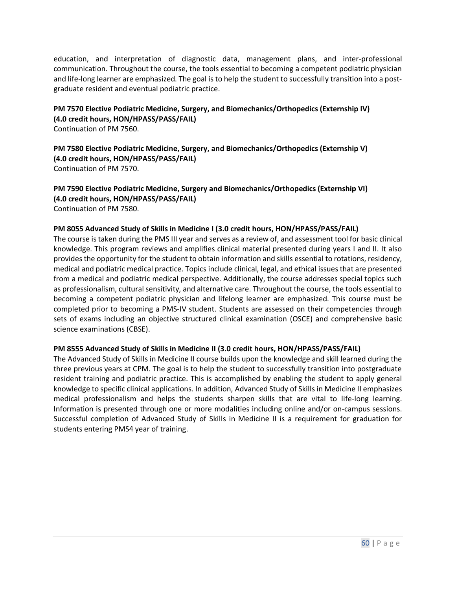education, and interpretation of diagnostic data, management plans, and inter-professional communication. Throughout the course, the tools essential to becoming a competent podiatric physician and life-long learner are emphasized. The goal is to help the student to successfully transition into a postgraduate resident and eventual podiatric practice.

**PM 7570 Elective Podiatric Medicine, Surgery, and Biomechanics/Orthopedics (Externship IV) (4.0 credit hours, HON/HPASS/PASS/FAIL)**  Continuation of PM 7560.

**PM 7580 Elective Podiatric Medicine, Surgery, and Biomechanics/Orthopedics (Externship V) (4.0 credit hours, HON/HPASS/PASS/FAIL)**  Continuation of PM 7570.

**PM 7590 Elective Podiatric Medicine, Surgery and Biomechanics/Orthopedics (Externship VI) (4.0 credit hours, HON/HPASS/PASS/FAIL)**  Continuation of PM 7580.

#### **PM 8055 Advanced Study of Skills in Medicine I (3.0 credit hours, HON/HPASS/PASS/FAIL)**

The course is taken during the PMS III year and serves as a review of, and assessment tool for basic clinical knowledge. This program reviews and amplifies clinical material presented during years I and II. It also provides the opportunity for the student to obtain information and skills essential to rotations, residency, medical and podiatric medical practice. Topics include clinical, legal, and ethical issues that are presented from a medical and podiatric medical perspective. Additionally, the course addresses special topics such as professionalism, cultural sensitivity, and alternative care. Throughout the course, the tools essential to becoming a competent podiatric physician and lifelong learner are emphasized. This course must be completed prior to becoming a PMS-IV student. Students are assessed on their competencies through sets of exams including an objective structured clinical examination (OSCE) and comprehensive basic science examinations (CBSE).

#### **PM 8555 Advanced Study of Skills in Medicine II (3.0 credit hours, HON/HPASS/PASS/FAIL)**

The Advanced Study of Skills in Medicine II course builds upon the knowledge and skill learned during the three previous years at CPM. The goal is to help the student to successfully transition into postgraduate resident training and podiatric practice. This is accomplished by enabling the student to apply general knowledge to specific clinical applications. In addition, Advanced Study of Skills in Medicine II emphasizes medical professionalism and helps the students sharpen skills that are vital to life-long learning. Information is presented through one or more modalities including online and/or on-campus sessions. Successful completion of Advanced Study of Skills in Medicine II is a requirement for graduation for students entering PMS4 year of training.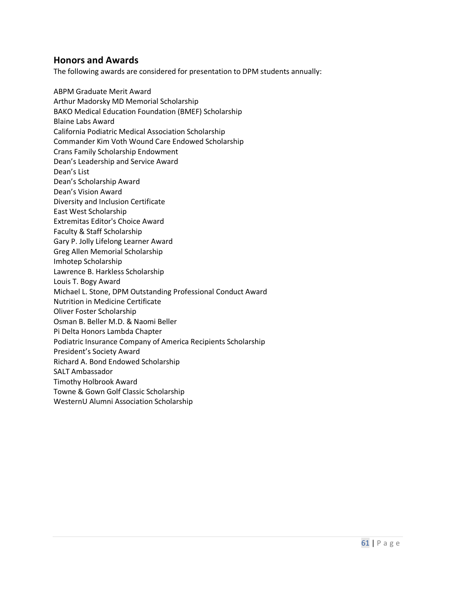### <span id="page-60-0"></span>**Honors and Awards**

The following awards are considered for presentation to DPM students annually:

ABPM Graduate Merit Award Arthur Madorsky MD Memorial Scholarship BAKO Medical Education Foundation (BMEF) Scholarship Blaine Labs Award California Podiatric Medical Association Scholarship Commander Kim Voth Wound Care Endowed Scholarship Crans Family Scholarship Endowment Dean's Leadership and Service Award Dean's List Dean's Scholarship Award Dean's Vision Award Diversity and Inclusion Certificate East West Scholarship Extremitas Editor's Choice Award Faculty & Staff Scholarship Gary P. Jolly Lifelong Learner Award Greg Allen Memorial Scholarship Imhotep Scholarship Lawrence B. Harkless Scholarship Louis T. Bogy Award Michael L. Stone, DPM Outstanding Professional Conduct Award Nutrition in Medicine Certificate Oliver Foster Scholarship Osman B. Beller M.D. & Naomi Beller Pi Delta Honors Lambda Chapter Podiatric Insurance Company of America Recipients Scholarship President's Society Award Richard A. Bond Endowed Scholarship SALT Ambassador Timothy Holbrook Award Towne & Gown Golf Classic Scholarship

WesternU Alumni Association Scholarship